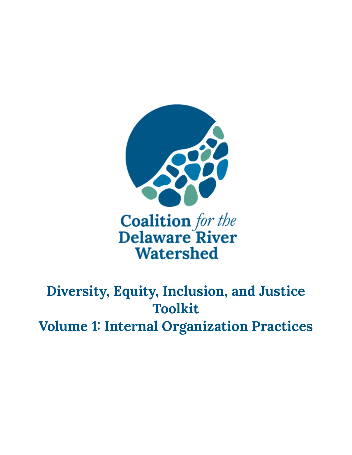

# **Diversity, Equity, Inclusion, and Justice Toolkit Volume 1: Internal Organization Practices**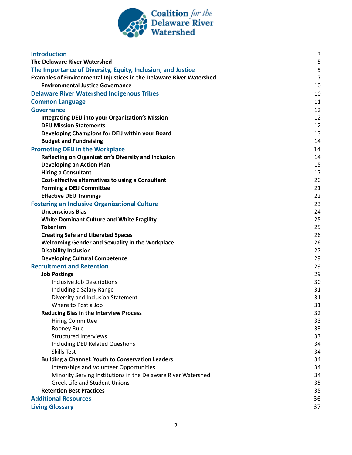

| <b>Introduction</b>                                                                                   | 3              |
|-------------------------------------------------------------------------------------------------------|----------------|
| The Delaware River Watershed                                                                          | 5              |
| The Importance of Diversity, Equity, Inclusion, and Justice                                           | 5              |
| Examples of Environmental Injustices in the Delaware River Watershed                                  | $\overline{7}$ |
| <b>Environmental Justice Governance</b>                                                               | 10             |
| <b>Delaware River Watershed Indigenous Tribes</b>                                                     | 10             |
| <b>Common Language</b>                                                                                | 11             |
| Governance                                                                                            | 12             |
| <b>Integrating DEIJ into your Organization's Mission</b>                                              | 12             |
| <b>DEIJ Mission Statements</b>                                                                        | 12             |
| Developing Champions for DEIJ within your Board                                                       | 13             |
| <b>Budget and Fundraising</b>                                                                         | 14             |
| <b>Promoting DEIJ in the Workplace</b>                                                                | 14             |
| Reflecting on Organization's Diversity and Inclusion                                                  | 14             |
| <b>Developing an Action Plan</b>                                                                      | 15             |
| <b>Hiring a Consultant</b>                                                                            | 17             |
| Cost-effective alternatives to using a Consultant                                                     | 20             |
| <b>Forming a DEIJ Committee</b>                                                                       | 21             |
| <b>Effective DEIJ Trainings</b>                                                                       | 22             |
| <b>Fostering an Inclusive Organizational Culture</b>                                                  | 23             |
| <b>Unconscious Bias</b>                                                                               | 24             |
| <b>White Dominant Culture and White Fragility</b>                                                     | 25             |
| <b>Tokenism</b>                                                                                       | 25             |
| <b>Creating Safe and Liberated Spaces</b>                                                             | 26             |
| <b>Welcoming Gender and Sexuality in the Workplace</b>                                                | 26             |
| <b>Disability Inclusion</b>                                                                           | 27             |
| <b>Developing Cultural Competence</b>                                                                 | 29             |
| <b>Recruitment and Retention</b>                                                                      | 29             |
| <b>Job Postings</b>                                                                                   | 29             |
| Inclusive Job Descriptions                                                                            | 30             |
| Including a Salary Range                                                                              | 31             |
| Diversity and Inclusion Statement                                                                     | 31             |
| Where to Post a Job                                                                                   | 31             |
| <b>Reducing Bias in the Interview Process</b>                                                         | 32             |
| <b>Hiring Committee</b>                                                                               | 33             |
| Rooney Rule                                                                                           | 33             |
| <b>Structured Interviews</b>                                                                          | 33             |
| Including DEIJ Related Questions                                                                      | 34             |
| Skills Test                                                                                           | 34             |
| <b>Building a Channel: Youth to Conservation Leaders</b>                                              | 34             |
| Internships and Volunteer Opportunities                                                               | 34             |
| Minority Serving Institutions in the Delaware River Watershed<br><b>Greek Life and Student Unions</b> | 34             |
| <b>Retention Best Practices</b>                                                                       | 35<br>35       |
|                                                                                                       |                |
| <b>Additional Resources</b>                                                                           | 36             |
| <b>Living Glossary</b>                                                                                | 37             |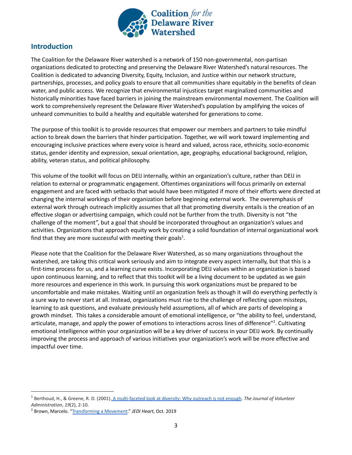

# <span id="page-2-0"></span>**Introduction**

The Coalition for the Delaware River watershed is a network of 150 non-governmental, non-partisan organizations dedicated to protecting and preserving the Delaware River Watershed's natural resources. The Coalition is dedicated to advancing Diversity, Equity, Inclusion, and Justice within our network structure, partnerships, processes, and policy goals to ensure that all communities share equitably in the benefits of clean water, and public access. We recognize that environmental injustices target marginalized communities and historically minorities have faced barriers in joining the mainstream environmental movement. The Coalition will work to comprehensively represent the Delaware River Watershed's population by amplifying the voices of unheard communities to build a healthy and equitable watershed for generations to come.

The purpose of this toolkit is to provide resources that empower our members and partners to take mindful action to break down the barriers that hinder participation. Together, we will work toward implementing and encouraging inclusive practices where every voice is heard and valued, across race, ethnicity, socio-economic status, gender identity and expression, sexual orientation, age, geography, educational background, religion, ability, veteran status, and political philosophy.

This volume of the toolkit will focus on DEIJ internally, within an organization's culture, rather than DEIJ in relation to external or programmatic engagement. Oftentimes organizations will focus primarily on external engagement and are faced with setbacks that would have been mitigated if more of their efforts were directed at changing the internal workings of their organization before beginning external work. The overemphasis of external work through outreach implicitly assumes that all that promoting diversity entails is the creation of an effective slogan or advertising campaign, which could not be further from the truth. Diversity is not "the challenge of the moment", but a goal that should be incorporated throughout an organization's values and activities. Organizations that approach equity work by creating a solid foundation of internal organizational work find that they are more successful with meeting their goals<sup>1</sup>.

Please note that the Coalition for the Delaware River Watershed, as so many organizations throughout the watershed, are taking this critical work seriously and aim to integrate every aspect internally, but that this is a first-time process for us, and a learning curve exists. Incorporating DEIJ values within an organization is based upon continuous learning, and to reflect that this toolkit will be a living document to be updated as we gain more resources and experience in this work. In pursuing this work organizations must be prepared to be uncomfortable and make mistakes. Waiting until an organization feels as though it will do everything perfectly is a sure way to never start at all. Instead, organizations must rise to the challenge of reflecting upon missteps, learning to ask questions, and evaluate previously held assumptions, all of which are parts of developing a growth mindset. This takes a considerable amount of emotional intelligence, or "the ability to feel, understand, articulate, manage, and apply the power of emotions to interactions across lines of difference"<sup>2</sup>. Cultivating emotional intelligence within your organization will be a key driver of success in your DEIJ work. By continually improving the process and approach of various initiatives your organization's work will be more effective and impactful over time.

<sup>1</sup> Berthoud, H., & Greene, R. D. (2001). A multi-faceted [look at diversity: Why outreach is not enough](https://www.choosecleanwater.org/s/A_Multi-Faceted_Look_at_Diversity.pdf). *The Journal of Volunteer Administration*, *19*(2), 2-10.

<sup>2</sup> Brown, Marcelo. "[Transforming a Movement](http://static1.squarespace.com/static/5c69d03c7788977a41b9177f/t/5dc2e21902f6c23ce2b46447/1573052975475/TransformingaMovement_Nov2019.pdf)." *JEDI Heart*, Oct. 2019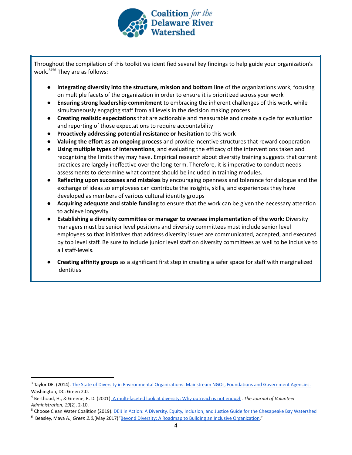

Throughout the compilation of this toolkit we identified several key findings to help guide your organization's work.<sup>3456</sup> They are as follows:

- **Integrating diversity into the structure, mission and bottom line** of the organizations work, focusing on multiple facets of the organization in order to ensure it is prioritized across your work
- **Ensuring strong leadership commitment** to embracing the inherent challenges of this work, while simultaneously engaging staff from all levels in the decision making process
- **Creating realistic expectations** that are actionable and measurable and create a cycle for evaluation and reporting of those expectations to require accountability
- **Proactively addressing potential resistance or hesitation** to this work
- **Valuing the effort as an ongoing process** and provide incentive structures that reward cooperation
- **Using multiple types of interventions**, and evaluating the efficacy of the interventions taken and recognizing the limits they may have. Empirical research about diversity training suggests that current practices are largely ineffective over the long-term. Therefore, it is imperative to conduct needs assessments to determine what content should be included in training modules.
- **Reflecting upon successes and mistakes** by encouraging openness and tolerance for dialogue and the exchange of ideas so employees can contribute the insights, skills, and experiences they have developed as members of various cultural identity groups
- **Acquiring adequate and stable funding** to ensure that the work can be given the necessary attention to achieve longevity
- **Establishing a diversity committee or manager to oversee implementation of the work:** Diversity managers must be senior level positions and diversity committees must include senior level employees so that initiatives that address diversity issues are communicated, accepted, and executed by top level staff. Be sure to include junior level staff on diversity committees as well to be inclusive to all staff-levels.
- **● Creating affinity groups** as a significant first step in creating a safer space for staff with marginalized identities

<sup>&</sup>lt;sup>3</sup> Taylor DE. (2014). The State of Diversity in Environmental [Organizations: Mainstream NGOs, Foundations and Government](https://www.diversegreen.org/wp-content/uploads/2015/10/FullReport_Green2.0_FINAL.pdf) Agencies. Washington, DC: Green 2.0.

<sup>4</sup> Berthoud, H., & Greene, R. D. (2001). A multi-faceted [look at diversity: Why outreach is not enough](https://www.choosecleanwater.org/s/A_Multi-Faceted_Look_at_Diversity.pdf). *The Journal of Volunteer Administration*, *19*(2), 2-10.

<sup>&</sup>lt;sup>5</sup> Choose Clean Water Coalition (2019). DEIJ in Action: [A Diversity, Equity, Inclusion, and Justice Guide](https://drive.google.com/drive/folders/1GYbIg2EWwSEJe7pcU3zGEpGQDUWK2CS3) for the Chesapeake Bay Watershed

<sup>6</sup> Beasley, Maya A., *Green 2.0,*(May 2017)"Beyond Diversity: [A Roadmap to Building an Inclusive Organization,](http://diversegreen.org/beyond-diversity/)"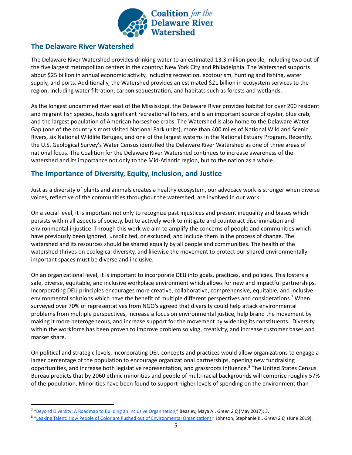

# **The Delaware River Watershed**

The Delaware River Watershed provides drinking water to an [estimated](https://www.nj.gov/drbc/library/documents/WRP_FY19-21_adopted031319.pdf) 13.3 million people, including two out of the five largest metropolitan centers in the country: New York City and Philadelphia. The Watershed supports about \$25 billion in annual economic activity, including recreation, ecotourism, hunting and fishing, water supply, and ports. Additionally, the Watershed provides an estimated \$21 billion in ecosystem services to the region, including water filtration, carbon sequestration, and habitats such as forests and wetlands.

As the longest undammed river east of the Mississippi, the Delaware River provides habitat for over 200 resident and migrant fish species, hosts significant recreational fishers, and is an important source of oyster, blue crab, and the largest population of American horseshoe crabs. The Watershed is also home to the Delaware Water Gap (one of the country's most visited National Park units), more than 400 miles of National Wild and Scenic Rivers, six National Wildlife Refuges, and one of the largest systems in the National Estuary [Program](http://www.delawareestuary.org/). Recently, the U.S. Geological Survey's Water Census identified the Delaware River Watershed as one of three areas of national focus. The Coalition for the Delaware River Watershed continues to increase awareness of the watershed and its importance not only to the Mid-Atlantic region, but to the nation as a whole.

# <span id="page-4-0"></span>**The Importance of Diversity, Equity, Inclusion, and Justice**

Just as a diversity of plants and animals creates a healthy ecosystem, our advocacy work is stronger when diverse voices, reflective of the communities throughout the watershed, are involved in our work.

On a social level, it is important not only to recognize past injustices and present inequality and biases which persists within all aspects of society, but to actively work to mitigate and counteract discrimination and environmental injustice. Through this work we aim to amplify the concerns of people and communities which have previously been ignored, unsolicited, or excluded, and include them in the process of change. The watershed and its resources should be shared equally by all people and communities. The health of the watershed thrives on ecological diversity, and likewise the movement to protect our shared environmentally important spaces must be diverse and inclusive.

On an organizational level, it is important to incorporate DEIJ into goals, practices, and policies. This fosters a safe, diverse, equitable, and inclusive workplace environment which allows for new and impactful partnerships. Incorporating DEIJ principles encourages more creative, collaborative, comprehensive, equitable, and inclusive environmental solutions which have the benefit of multiple different perspectives and considerations.<sup>7</sup> When surveyed over 70% of representatives from NGO's agreed that diversity could help attack environmental problems from multiple perspectives, increase a focus on environmental justice, help brand the movement by making it more heterogeneous, and increase support for the movement by widening its constituents. Diversity within the workforce has been proven to improve problem solving, creativity, and increase customer bases and market share.

On political and strategic levels, incorporating DEIJ concepts and practices would allow organizations to engage a larger percentage of the population to encourage organizational partnerships, opening new fundraising opportunities, and increase both legislative representation, and grassroots influence.<sup>8</sup> The United States Census Bureau predicts that by 2060 ethnic minorities and people of multi-racial backgrounds will comprise roughly 57% of the population. Minorities have been found to support higher levels of spending on the environment than

<sup>7</sup> ["Beyond Diversity: A Roadmap to Building an Inclusive](http://diversegreen.org/beyond-diversity/) Organization," Beasley, Maya A., *Green 2.0,*(May 2017): 3.

<sup>8</sup> ["Leaking Talent: How People of Color are Pushed out](http://diversegreen.org/leaking-talent/) of Environmental Organizations," Johnson, Stephanie K., *Green 2.0,* (June 2019).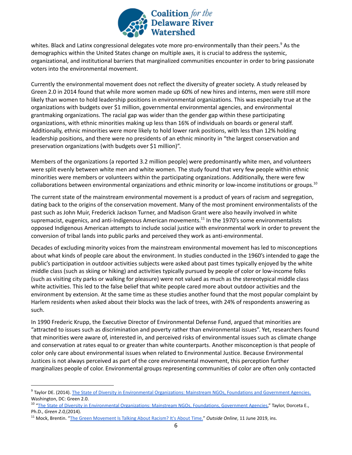

whites. Black and Latinx congressional delegates vote more pro-environmentally than their peers.<sup>9</sup> As the demographics within the United States change on multiple axes, it is crucial to address the systemic, organizational, and institutional barriers that marginalized communities encounter in order to bring passionate voters into the environmental movement.

Currently the environmental movement does not reflect the diversity of greater society. A study released by Green 2.0 in 2014 found that while more women made up 60% of new hires and interns, men were still more likely than women to hold leadership positions in environmental organizations. This was especially true at the organizations with budgets over \$1 million, governmental environmental agencies, and environmental grantmaking organizations. The racial gap was wider than the gender gap within these participating organizations, with ethnic minorities making up less than 16% of individuals on boards or general staff. Additionally, ethnic minorities were more likely to hold lower rank positions, with less than 12% holding leadership positions, and there were no presidents of an ethnic minority in "the largest conservation and preservation organizations (with budgets over \$1 million)".

Members of the organizations (a reported 3.2 million people) were predominantly white men, and volunteers were split evenly between white men and white women. The study found that very few people within ethnic minorities were members or volunteers within the participating organizations. Additionally, there were few collaborations between environmental organizations and ethnic minority or low-income institutions or groups.<sup>10</sup>

The current state of the mainstream environmental movement is a product of years of racism and segregation, dating back to the origins of the conservation movement. Many of the most prominent environmentalists of the past such as John Muir, Frederick Jackson Turner, and Madison Grant were also heavily involved in white supremacist, eugenics, and anti-Indigenous American movements.<sup>11</sup> In the 1970's some environmentalists opposed Indigenous American attempts to include social justice with environmental work in order to prevent the conversion of tribal lands into public parks and perceived they work as anti-environmental.

Decades of excluding minority voices from the mainstream environmental movement has led to misconceptions about what kinds of people care about the environment. In studies conducted in the 1960's intended to gage the public's participation in outdoor activities subjects were asked about past times typically enjoyed by the white middle class (such as skiing or hiking) and activities typically pursued by people of color or low-income folks (such as visiting city parks or walking for pleasure) were not valued as much as the stereotypical middle class white activities. This led to the false belief that white people cared more about outdoor activities and the environment by extension. At the same time as these studies another found that the most popular complaint by Harlem residents when asked about their blocks was the lack of trees, with 24% of respondents answering as such.

In 1990 Frederic Krupp, the Executive Director of Environmental Defense Fund, argued that minorities are "attracted to issues such as discrimination and poverty rather than environmental issues". Yet, researchers found that minorities were aware of, interested in, and perceived risks of environmental issues such as climate change and conservation at rates equal to or greater than white counterparts. Another misconception is that people of color only care about environmental issues when related to Environmental Justice. Because Environmental Justices is not always perceived as part of the core environmental movement, this perception further marginalizes people of color. Environmental groups representing communities of color are often only contacted

<sup>10</sup> "The State of Diversity in Environmental Organizations: [Mainstream NGOs, Foundations, Government Agencies,](http://diversegreen.org/FullReport_Green2.0_FINAL.pdf)" Taylor, Dorceta E., Ph.D., *Green 2.0,*(2014).

<sup>&</sup>lt;sup>9</sup> Taylor DE. (2014). [The State of Diversity in Environmental Organizations: Mainstream NGOs, Foundations and Government Agencies.](https://www.diversegreen.org/wp-content/uploads/2015/10/FullReport_Green2.0_FINAL.pdf) Washington, DC: Green 2.0.

<sup>11</sup> Mock, Brentin. "[The Green Movement Is Talking About](http://diversegreen.org/FullReport_Green2.0_FINAL.pdf) Racism? It's About Time." *Outside Online*, 11 June 2019, ins.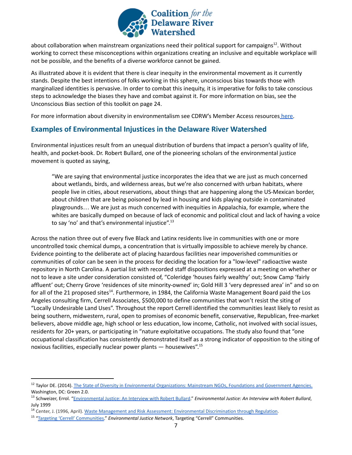

about collaboration when mainstream organizations need their political support for campaigns<sup>12</sup>. Without working to correct these misconceptions within organizations creating an inclusive and equitable workplace will not be possible, and the benefits of a diverse workforce cannot be gained.

As illustrated above it is evident that there is clear inequity in the environmental movement as it currently stands. Despite the best intentions of folks working in this sphere, unconscious bias towards those with marginalized identities is pervasive. In order to combat this inequity, it is imperative for folks to take conscious steps to acknowledge the biases they have and combat against it. For more information on bias, see the Unconscious Bias section of this toolkit on page 24.

For more information about diversity in environmentalism see CDRW's Member Access resources [here.](https://drive.google.com/drive/folders/1HyKwszaQHQEjUbY8Fq2gs-BFscGdJpVp)

# <span id="page-6-0"></span>**Examples of Environmental Injustices in the Delaware River Watershed**

Environmental injustices result from an unequal distribution of burdens that impact a person's quality of life, health, and pocket-book. Dr. Robert Bullard, one of the pioneering scholars of the environmental justice movement is quoted as saying,

"We are saying that environmental justice incorporates the idea that we are just as much concerned about wetlands, birds, and wilderness areas, but we're also concerned with urban habitats, where people live in cities, about reservations, about things that are happening along the US-Mexican border, about children that are being poisoned by lead in housing and kids playing outside in contaminated playgrounds… We are just as much concerned with inequities in Appalachia, for example, where the whites are basically dumped on because of lack of economic and political clout and lack of having a voice to say 'no' and that's environmental injustice".<sup>13</sup>

Across the nation three out of every five Black and Latinx residents live in communities with one or more uncontrolled toxic chemical dumps, a concentration that is virtually impossible to achieve merely by chance. Evidence pointing to the deliberate act of placing hazardous facilities near impoverished communities or communities of color can be seen in the process for deciding the location for a "low-level" radioactive waste repository in North Carolina. A partial list with recorded staff dispositions expressed at a meeting on whether or not to leave a site under consideration consisted of, "Coleridge 'houses fairly wealthy' out; Snow Camp 'fairly affluent' out; Cherry Grove 'residences of site minority-owned' in; Gold Hill 3 'very depressed area' in" and so on for all of the 21 proposed sites<sup>14</sup>. Furthermore, in 1984, the California Waste Management Board paid the Los Angeles consulting firm, Cerrell Associates, \$500,000 to define communities that won't resist the siting of "Locally Undesirable Land Uses". Throughout the report Cerrell identified the communities least likely to resist as being southern, midwestern, rural, open to promises of economic benefit, conservative, Republican, free-market believers, above middle age, high school or less education, low income, Catholic, not involved with social issues, residents for 20+ years, or participating in "nature exploitative occupations. The study also found that "one occupational classification has consistently demonstrated itself as a strong indicator of opposition to the siting of noxious facilities, especially nuclear power plants — housewives".<sup>15</sup>

<sup>&</sup>lt;sup>12</sup> Taylor DE. (2014). [The State of Diversity in Environmental Organizations: Mainstream NGOs, Foundations and Government Agencies.](https://www.diversegreen.org/wp-content/uploads/2015/10/FullReport_Green2.0_FINAL.pdf) Washington, DC: Green 2.0.

<sup>13</sup> Schweizer, Errol. "[Environmental Justice: An Interview](http://www.ejnet.org/ej/bullard.html) with Robert Bullard." *Environmental Justice: An Interview with Robert Bullard*, July 1999

<sup>14</sup> Center, J. (1996, April). Waste Management and Risk [Assessment: Environmental Discrimination through](http://www.ejnet.org/ej/wmra.html) Regulation.

<sup>15</sup> ["Targeting 'Cerrell' Communities.](http://www.ejnet.org/ej/cerrell.pdf)" *Environmental Justice Network*, Targeting "Cerrell" Communities.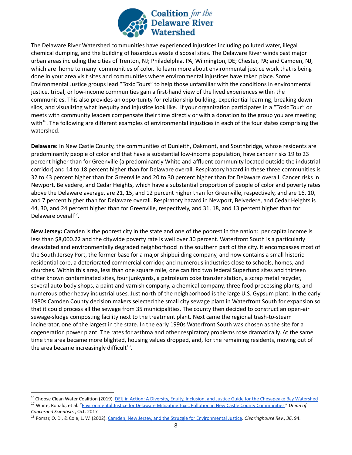

The Delaware River Watershed communities have experienced injustices including polluted water, illegal chemical dumping, and the building of hazardous waste disposal sites. The Delaware River winds past major urban areas including the cities of Trenton, NJ; Philadelphia, PA; Wilmington, DE; Chester, PA; and Camden, NJ, which are home to many communities of color. To learn more about environmental justice work that is being done in your area visit sites and communities where environmental injustices have taken place. Some Environmental Justice groups lead "Toxic Tours" to help those unfamiliar with the conditions in environmental justice, tribal, or low-income communities gain a first-hand view of the lived experiences within the communities. This also provides an opportunity for relationship building, experiential learning, breaking down silos, and visualizing what inequity and injustice look like. If your organization participates in a "Toxic Tour" or meets with community leaders compensate their time directly or with a donation to the group you are meeting with<sup>16</sup>. The following are different examples of environmental injustices in each of the four states comprising the watershed.

**Delaware:** In New Castle County, the communities of Dunleith, Oakmont, and Southbridge, whose residents are predominantly people of color and that have a substantial low-income population, have cancer risks 19 to 23 percent higher than for Greenville (a predominantly White and affluent community located outside the industrial corridor) and 14 to 18 percent higher than for Delaware overall. Respiratory hazard in these three communities is 32 to 43 percent higher than for Greenville and 20 to 30 percent higher than for Delaware overall. Cancer risks in Newport, Belvedere, and Cedar Heights, which have a substantial proportion of people of color and poverty rates above the Delaware average, are 21, 15, and 12 percent higher than for Greenville, respectively, and are 16, 10, and 7 percent higher than for Delaware overall. Respiratory hazard in Newport, Belvedere, and Cedar Heights is 44, 30, and 24 percent higher than for Greenville, respectively, and 31, 18, and 13 percent higher than for Delaware overall<sup>17</sup>.

**New Jersey:** Camden is the poorest city in the state and one of the poorest in the nation: per capita income is less than \$8,000.22 and the citywide poverty rate is well over 30 percent. Waterfront South is a particularly devastated and environmentally degraded neighborhood in the southern part of the city. It encompasses most of the South Jersey Port, the former base for a major shipbuilding company, and now contains a small historic residential core, a deteriorated commercial corridor, and numerous industries close to schools, homes, and churches. Within this area, less than one square mile, one can find two federal Superfund sites and thirteen other known contaminated sites, four junkyards, a petroleum coke transfer station, a scrap metal recycler, several auto body shops, a paint and varnish company, a chemical company, three food processing plants, and numerous other heavy industrial uses. Just north of the neighborhood is the large U.S. Gypsum plant. In the early 1980s Camden County decision makers selected the small city sewage plant in Waterfront South for expansion so that it could process all the sewage from 35 municipalities. The county then decided to construct an open-air sewage-sludge composting facility next to the treatment plant. Next came the regional trash-to-steam incinerator, one of the largest in the state. In the early 1990s Waterfront South was chosen as the site for a cogeneration power plant. The rates for asthma and other respiratory problems rose dramatically. At the same time the area became more blighted, housing values dropped, and, for the remaining residents, moving out of the area became increasingly difficult $^{18}$ .

*Concerned Scientists* , Oct. 2017

<sup>17</sup> White, Ronald, et al. "Environmental Justice for [Delaware Mitigating Toxic Pollution in New Castle](https://www.ucsusa.org/sites/default/files/attach/2017/10/ej-for-de-summary-ucs-2017.pdf) County Communities." *Union of* <sup>16</sup> Choose Clean Water Coalition (2019). **DEIJ in Action: [A Diversity, Equity, Inclusion, and Justice Guide](https://drive.google.com/drive/folders/1GYbIg2EWwSEJe7pcU3zGEpGQDUWK2CS3) for the Chesapeake Bay Watershed** 

<sup>18</sup> Pomar, O. D., & Cole, L. W. (2002). Camden, New Jersey, [and the Struggle for Environmental Justice](https://books.google.com/books?id=U_9V0uO8i8oC&pg=PA99&lpg=PA99&dq=Waterfront+South+is+a+particularly+devastated+and+environmentally+degraded+neighborhood+in+the+southern+part+of+the+city.+Extending+east+to+west+one-half+mile+from+an+interstate+highway+to+the+Delaware+River,+it+encompasses+most+of+the+South+Jersey+Port,+the+former+base+for+a+major+shipbuilding+company.&source=bl&ots=g1Kpkw_yVF&sig=ACfU3U1nL6H8HT5EhqNTarIU-5JkwuA5BA&hl=en&sa=X&ved=2ahUKEwjH9rfUpKvmAhXlqFkKHbmPCCIQ6AEwAHoECAoQAQ#v=onepage&q=Waterfront%20South%20is%20a%20particularly%20devastated%20and%20environmentally%20degraded%20neighborhood%20in%20the%20southern%20part%20of%20the%20city.%20Extending%20east%20to%20west%20one-half%20mile%20from%20an%20interstate%20highway%20to%20the%20Delaware%20River%2C%20it%20encompasses%20most%20of%20the%20South%20Jersey%20Port%2C%20the%20former%20base%20for%20a%20major%20shipbuilding%20company.&f=false). *Clearinghouse Rev.*, *36*, 94.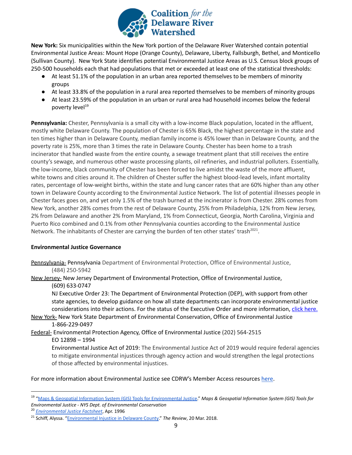

**New York:** Six municipalities within the New York portion of the Delaware River Watershed contain potential Environmental Justice Areas: Mount Hope (Orange County), Delaware, Liberty, Fallsburgh, Bethel, and Monticello (Sullivan County). New York State identifies potential Environmental Justice Areas as U.S. Census block groups of 250-500 households each that had populations that met or exceeded at least one of the statistical thresholds:

- At least 51.1% of the population in an urban area reported themselves to be members of minority groups
- At least 33.8% of the population in a rural area reported themselves to be members of minority groups
- At least 23.59% of the population in an urban or rural area had household incomes below the federal poverty level<sup>19</sup>

**Pennsylvania:** Chester, Pennsylvania is a small city with a low-income Black population, located in the affluent, mostly white Delaware County. The population of Chester is 65% Black, the highest percentage in the state and ten times higher than in Delaware County, median family income is 45% lower than in Delaware County, and the poverty rate is 25%, more than 3 times the rate in Delaware County. Chester has been home to a trash incinerator that handled waste from the entire county, a sewage treatment plant that still receives the entire county's sewage, and numerous other waste processing plants, oil refineries, and industrial polluters. Essentially, the low-income, black community of Chester has been forced to live amidst the waste of the more affluent, white towns and cities around it. The children of Chester suffer the highest blood-lead levels, infant mortality rates, percentage of low-weight births, within the state and lung cancer rates that are 60% higher than any other town in Delaware County according to the Environmental Justice Network. The list of potential illnesses people in Chester faces goes on, and yet only 1.5% of the trash burned at the incinerator is from Chester. 28% comes from New York, another 28% comes from the rest of Delaware County, 25% from Philadelphia, 12% from New Jersey, 2% from Delaware and another 2% from Maryland, 1% from Connecticut, Georgia, North Carolina, Virginia and Puerto Rico combined and 0.1% from other Pennsylvania counties according to the Environmental Justice Network. The inhabitants of Chester are carrying the burden of ten other states' trash<sup>2021</sup>.

## <span id="page-8-0"></span>**Environmental Justice Governance**

Pennsylvania- Pennsylvania Department of Environmental Protection, Office of Environmental Justice, (484) 250-5942

New Jersey- New Jersey Department of Environmental Protection, Office of Environmental Justice, (609) 633-0747

NJ Executive Order 23: The Department of Environmental Protection (DEP), with support from other state agencies, to develop guidance on how all state departments can incorporate environmental justice considerations into their actions. For the status of the Executive Order and more information, click [here.](https://www.nj.gov/dep/ej/eo23/index.html)

New York- New York State Department of Environmental Conservation, Office of Environmental Justice 1-866-229-0497

Federal- Environmental Protection Agency, Office of Environmental Justice (202) 564-2515

#### EO 12898 – 1994

Environmental Justice Act of 2019: The Environmental Justice Act of 2019 would require federal agencies to mitigate environmental injustices through agency action and would strengthen the legal protections of those affected by environmental injustices.

For more information about Environmental Justice see CDRW's Member Access resources [here](https://drive.google.com/drive/folders/1mUSWS91jMNomFODpy_CSTKmAyn2d6ZL6).

<sup>19</sup> ["Maps & Geospatial Information System \(GIS\) Tools](http://www.dec.ny.gov/public/911.html) for Environmental Justice." *Maps & Geospatial Information System (GIS) Tools for Environmental Justice - NYS Dept. of Environmental Conservation*

<sup>20</sup> *[Environmental Justice Factsheet](http://www.ejnet.org/chester/factsheet.html)*, Apr. 1996

<sup>21</sup> Schiff, Alyssa. "[Environmental Injustice in Delaware](http://udreview.com/environmental-injustice-delaware-county/) County." *The Review*, 20 Mar. 2018.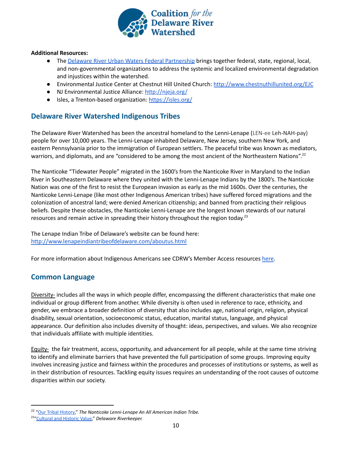

#### **Additional Resources:**

- The Delaware River Urban Waters Federal [Partnership](https://www.nrs.fs.fed.us/philadelphia/urban-waters/) brings together federal, state, regional, local, and [non-governmental](https://www.nrs.fs.fed.us/philadelphia/urban-waters/) organizations to address the systemic and localized environmental degradation and injustices within the [watershed.](https://www.nrs.fs.fed.us/philadelphia/urban-waters/)
- Environmental Justice Center at Chestnut Hill United Church: <http://www.chestnuthillunited.org/EJC>
- NJ Environmental Justice Alliance: <http://njeja.org/>
- Isles, a Trenton-based organization: <https://isles.org/>

## <span id="page-9-0"></span>**Delaware River Watershed Indigenous Tribes**

The Delaware River Watershed has been the ancestral homeland to the Lenni-Lenape (LEN-ee Leh-NAH-pay) people for over 10,000 years. The Lenni-Lenape inhabited Delaware, New Jersey, southern New York, and eastern Pennsylvania prior to the immigration of European settlers. The peaceful tribe was known as mediators, warriors, and diplomats, and are "considered to be among the most ancient of the Northeastern Nations".<sup>22</sup>

The Nanticoke "Tidewater People" migrated in the 1600's from the Nanticoke River in Maryland to the Indian River in Southeastern Delaware where they united with the Lenni-Lenape Indians by the 1800's. The Nanticoke Nation was one of the first to resist the European invasion as early as the mid 1600s. Over the centuries, the Nanticoke Lenni-Lenape (like most other Indigenous American tribes) have suffered forced migrations and the colonization of ancestral land; were denied American citizenship; and banned from practicing their religious beliefs. Despite these obstacles, the Nanticoke Lenni-Lenape are the longest known stewards of our natural resources and remain active in spreading their history throughout the region today.<sup>23</sup>

The Lenape Indian Tribe of Delaware's website can be found here: <http://www.lenapeindiantribeofdelaware.com/aboutus.html>

For more information about Indigenous Americans see CDRW's Member Access resources [here](https://drive.google.com/drive/folders/17elVG2V6AZvtYYs24UpKuYvVeoo3Ds-T).

## <span id="page-9-1"></span>**Common Language**

Diversity- includes all the ways in which people differ, encompassing the different characteristics that make one individual or group different from another. While diversity is often used in reference to race, ethnicity, and gender, we embrace a broader definition of diversity that also includes age, national origin, religion, physical disability, sexual orientation, socioeconomic status, education, marital status, language, and physical appearance. Our definition also includes diversity of thought: ideas, perspectives, and values. We also recognize that individuals affiliate with multiple identities.

Equity- the fair treatment, access, opportunity, and advancement for all people, while at the same time striving to identify and eliminate barriers that have prevented the full participation of some groups. Improving equity involves increasing justice and fairness within the procedures and processes of institutions or systems, as well as in their distribution of resources. Tackling equity issues requires an understanding of the root causes of outcome disparities within our society.

<sup>22</sup> ["Our Tribal History](http://nanticoke-lenape.info/history.htm)," *The Nanticoke Lenni-Lenape An All American Indian Tribe.*

<sup>23</sup>["Cultural and Historic Value,](http://delawareriverkeeper.org/Culture_&_History.pdf)" *Delaware Riverkeeper.*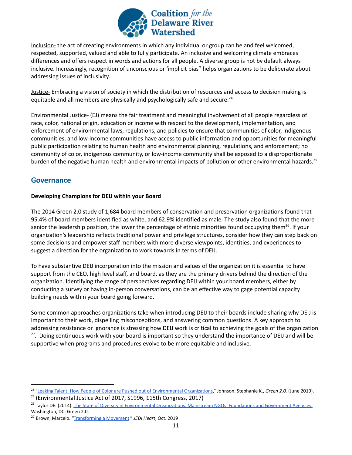

Inclusion- the act of creating environments in which any individual or group can be and feel welcomed, respected, supported, valued and able to fully participate. An inclusive and welcoming climate embraces differences and offers respect in words and actions for all people. A diverse group is not by default always inclusive. Increasingly, recognition of unconscious or 'implicit bias" helps organizations to be deliberate about addressing issues of inclusivity.

Justice- Embracing a vision of society in which the distribution of resources and access to decision making is equitable and all members are physically and psychologically safe and secure.<sup>24</sup>

Environmental Justice- (EJ) means the fair treatment and meaningful involvement of all people regardless of race, color, national origin, education or income with respect to the development, implementation, and enforcement of environmental laws, regulations, and policies to ensure that communities of color, indigenous communities, and low-income communities have access to public information and opportunities for meaningful public participation relating to human health and environmental planning, regulations, and enforcement; no community of color, indigenous community, or low-income community shall be exposed to a disproportionate burden of the negative human health and environmental impacts of pollution or other environmental hazards.<sup>25</sup>

# <span id="page-10-0"></span>**Governance**

## <span id="page-10-1"></span>**Developing Champions for DEIJ within your Board**

The 2014 Green 2.0 study of 1,684 board members of conservation and preservation organizations found that 95.4% of board members identified as white, and 62.9% identified as male. The study also found that the more senior the leadership position, the lower the percentage of ethnic minorities found occupying them<sup>26</sup>. If your organization's leadership reflects traditional power and privilege structures, consider how they can step back on some decisions and empower staff members with more diverse viewpoints, identities, and experiences to suggest a direction for the organization to work towards in terms of DEIJ.

To have substantive DEIJ incorporation into the mission and values of the organization it is essential to have support from the CEO, high level staff, and board, as they are the primary drivers behind the direction of the organization. Identifying the range of perspectives regarding DEIJ within your board members, either by conducting a survey or having in-person conversations, can be an effective way to gage potential capacity building needs within your board going forward.

Some common approaches organizations take when introducing DEIJ to their boards include sharing why DEIJ is important to their work, dispelling misconceptions, and answering common questions. A key approach to addressing resistance or ignorance is stressing how DEIJ work is critical to achieving the goals of the organization <sup>27</sup>. Doing continuous work with your board is important so they understand the importance of DEIJ and will be supportive when programs and procedures evolve to be more equitable and inclusive.

<sup>24</sup> ["Leaking Talent: How People of Color are Pushed out](http://diversegreen.org/leaking-talent/) of Environmental Organizations," Johnson, Stephanie K., *Green 2.0,* (June 2019).

<sup>&</sup>lt;sup>25</sup> (Environmental Justice Act of 2017, S1996, 115th Congress, 2017)

<sup>&</sup>lt;sup>26</sup> Taylor DE. (2014). The State of Diversity in Environmental [Organizations: Mainstream NGOs, Foundations and Government](https://www.diversegreen.org/wp-content/uploads/2015/10/FullReport_Green2.0_FINAL.pdf) Agencies. Washington, DC: Green 2.0.

<sup>27</sup> Brown, Marcelo. "[Transforming a Movement](http://static1.squarespace.com/static/5c69d03c7788977a41b9177f/t/5dc2e21902f6c23ce2b46447/1573052975475/TransformingaMovement_Nov2019.pdf)." *JEDI Heart*, Oct. 2019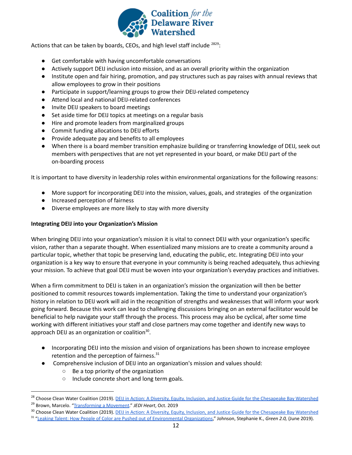

Actions that can be taken by boards, CEOs, and high level staff include  $2829$ :

- Get comfortable with having uncomfortable conversations
- Actively support DEIJ inclusion into mission, and as an overall priority within the organization
- Institute open and fair hiring, promotion, and pay structures such as pay raises with annual reviews that allow employees to grow in their positions
- Participate in support/learning groups to grow their DEIJ-related competency
- Attend local and national DEIJ-related conferences
- Invite DEIJ speakers to board meetings
- Set aside time for DEIJ topics at meetings on a regular basis
- Hire and promote leaders from marginalized groups
- Commit funding allocations to DEIJ efforts
- Provide adequate pay and benefits to all employees
- When there is a board member transition emphasize building or transferring knowledge of DEIJ, seek out members with perspectives that are not yet represented in your board, or make DEIJ part of the on-boarding process

It is important to have diversity in leadership roles within environmental organizations for the following reasons:

- More support for incorporating DEIJ into the mission, values, goals, and strategies of the organization
- Increased perception of fairness
- Diverse employees are more likely to stay with more diversity

#### **Integrating DEIJ into your Organization's Mission**

When bringing DEIJ into your organization's mission it is vital to connect DEIJ with your organization's specific vision, rather than a separate thought. When essentialized many missions are to create a community around a particular topic, whether that topic be preserving land, educating the public, etc. Integrating DEIJ into your organization is a key way to ensure that everyone in your community is being reached adequately, thus achieving your mission. To achieve that goal DEIJ must be woven into your organization's everyday practices and initiatives.

When a firm commitment to DEIJ is taken in an organization's mission the organization will then be better positioned to commit resources towards implementation. Taking the time to understand your organization's history in relation to DEIJ work will aid in the recognition of strengths and weaknesses that will inform your work going forward. Because this work can lead to challenging discussions bringing on an external facilitator would be beneficial to help navigate your staff through the process. This process may also be cyclical, after some time working with different initiatives your staff and close partners may come together and identify new ways to approach DEIJ as an organization or coalition<sup>30</sup>.

- Incorporating DEIJ into the mission and vision of organizations has been shown to increase employee retention and the perception of fairness.<sup>31</sup>
- Comprehensive inclusion of DEIJ into an organization's mission and values should:
	- Be a top priority of the organization
	- Include concrete short and long term goals.

<sup>29</sup> Brown, Marcelo. "[Transforming a Movement](http://static1.squarespace.com/static/5c69d03c7788977a41b9177f/t/5dc2e21902f6c23ce2b46447/1573052975475/TransformingaMovement_Nov2019.pdf)." *JEDI Heart*, Oct. 2019 <sup>28</sup> Choose Clean Water Coalition (2019). DEIJ in Action: [A Diversity, Equity, Inclusion, and Justice Guide](https://drive.google.com/drive/folders/1GYbIg2EWwSEJe7pcU3zGEpGQDUWK2CS3) for the Chesapeake Bay Watershed

<sup>&</sup>lt;sup>30</sup> Choose Clean Water Coalition (2019). DEIJ in Action: [A Diversity, Equity, Inclusion, and Justice Guide](https://drive.google.com/drive/folders/1GYbIg2EWwSEJe7pcU3zGEpGQDUWK2CS3) for the Chesapeake Bay Watershed

<sup>31</sup> ["Leaking Talent: How People of Color are Pushed out](http://diversegreen.org/leaking-talent/) of Environmental Organizations," Johnson, Stephanie K., *Green 2.0,* (June 2019).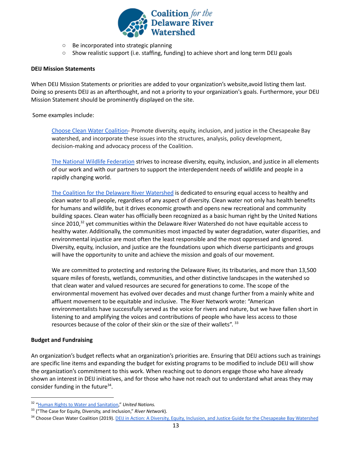

- Be incorporated into strategic planning
- Show realistic support (i.e. staffing, funding) to achieve short and long term DEIJ goals

#### <span id="page-12-0"></span>**DEIJ Mission Statements**

When DEIJ Mission Statements or priorities are added to your organization's website,avoid listing them last. Doing so presents DEIJ as an afterthought, and not a priority to your organization's goals. Furthermore, your DEIJ Mission Statement should be prominently displayed on the site.

#### Some examples include:

Choose Clean Water [Coalition-](https://www.choosecleanwater.org/equity) Promote diversity, equity, inclusion, and justice in the Chesapeake Bay watershed, and incorporate these issues into the structures, analysis, policy development, decision-making and advocacy process of the Coalition.

The National Wildlife [Federation](https://www.nwf.org/About-Us/DEIJ) strives to increase diversity, equity, inclusion, and justice in all elements of our work and with our partners to support the interdependent needs of wildlife and people in a rapidly changing world.

The Coalition for the Delaware River [Watershed](http://www.delriverwatershed.org/our-priorities) is dedicated to ensuring equal access to healthy and clean water to all people, regardless of any aspect of diversity. Clean water not only has health benefits for humans and wildlife, but it drives economic growth and opens new recreational and community building spaces. Clean water has officially been recognized as a basic human right by the United Nations since 2010,<sup>32</sup> yet communities within the Delaware River Watershed do not have equitable access to healthy water. Additionally, the communities most impacted by water degradation, water disparities, and environmental injustice are most often the least responsible and the most oppressed and ignored. Diversity, equity, inclusion, and justice are the foundations upon which diverse participants and groups will have the opportunity to unite and achieve the mission and goals of our movement.

We are committed to protecting and restoring the Delaware River, its tributaries, and more than 13,500 square miles of forests, wetlands, communities, and other distinctive landscapes in the watershed so that clean water and valued resources are secured for generations to come. The scope of the environmental movement has evolved over decades and must change further from a mainly white and affluent movement to be equitable and inclusive. The River Network wrote: "American environmentalists have successfully served as the voice for rivers and nature, but we have fallen short in listening to and amplifying the voices and contributions of people who have less access to those resources because of the color of their skin or the size of their wallets". 33

#### <span id="page-12-1"></span>**Budget and Fundraising**

An organization's budget reflects what an organization's priorities are. Ensuring that DEIJ actions such as trainings are specific line items and expanding the budget for existing programs to be modified to include DEIJ will show the organization's commitment to this work. When reaching out to donors engage those who have already shown an interest in DEIJ initiatives, and for those who have not reach out to understand what areas they may consider funding in the future $34$ .

<sup>32</sup> ["Human Rights to Water and Sanitation](http://unwater.org/water-facts/human-rights/)," *United Nations.*

<sup>33</sup> ("The Case for Equity, Diversity, and Inclusion," *River Network*).

<sup>&</sup>lt;sup>34</sup> Choose Clean Water Coalition (2019). DEIJ in Action: [A Diversity, Equity, Inclusion, and Justice Guide](https://drive.google.com/drive/folders/1GYbIg2EWwSEJe7pcU3zGEpGQDUWK2CS3) for the Chesapeake Bay Watershed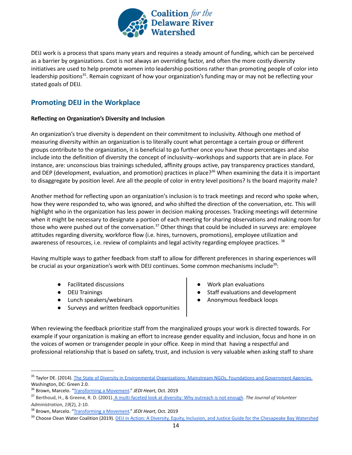

DEIJ work is a process that spans many years and requires a steady amount of funding, which can be perceived as a barrier by organizations. Cost is not always an overriding factor, and often the more costly diversity initiatives are used to help promote women into leadership positions rather than promoting people of color into leadership positions<sup>35</sup>. Remain cognizant of how your organization's funding may or may not be reflecting your stated goals of DEIJ.

# <span id="page-13-0"></span>**Promoting DEIJ in the Workplace**

#### <span id="page-13-1"></span>**Reflecting on Organization's Diversity and Inclusion**

An organization's true diversity is dependent on their commitment to inclusivity. Although one method of measuring diversity within an organization is to literally count what percentage a certain group or different groups contribute to the organization, it is beneficial to go further once you have those percentages and also include into the definition of diversity the concept of inclusivity--workshops and supports that are in place. For instance, are: unconscious bias trainings scheduled, affinity groups active, pay transparency practices standard, and DEP (development, evaluation, and promotion) practices in place?<sup>36</sup> When examining the data it is important to disaggregate by position level. Are all the people of color in entry level positions? Is the board majority male?

Another method for reflecting upon an organization's inclusion is to track meetings and record who spoke when, how they were responded to, who was ignored, and who shifted the direction of the conversation, etc. This will highlight who in the organization has less power in decision making processes. Tracking meetings will determine when it might be necessary to designate a portion of each meeting for sharing observations and making room for those who were pushed out of the conversation.<sup>37</sup> Other things that could be included in surveys are: employee attitudes regarding diversity, workforce flow (i.e. hires, turnovers, promotions), employee utilization and awareness of resources, i.e. review of complaints and legal activity regarding employee practices. <sup>38</sup>

Having multiple ways to gather feedback from staff to allow for different preferences in sharing experiences will be crucial as your organization's work with DEIJ continues. Some common mechanisms include<sup>39</sup>:

- **Facilitated discussions**
- DEIJ Trainings
- Lunch speakers/webinars
- Surveys and written feedback opportunities
- Work plan evaluations
- Staff evaluations and development
- Anonymous feedback loops

When reviewing the feedback prioritize staff from the marginalized groups your work is directed towards. For example if your organization is making an effort to increase gender equality and inclusion, focus and hone in on the voices of women or transgender people in your office. Keep in mind that having a respectful and professional relationship that is based on safety, trust, and inclusion is very valuable when asking staff to share

<sup>&</sup>lt;sup>35</sup> Taylor DE. (2014). The State of Diversity in Environmental [Organizations: Mainstream NGOs, Foundations and Government](https://www.diversegreen.org/wp-content/uploads/2015/10/FullReport_Green2.0_FINAL.pdf) Agencies. Washington, DC: Green 2.0.

<sup>36</sup> Brown, Marcelo. "[Transforming a Movement](http://static1.squarespace.com/static/5c69d03c7788977a41b9177f/t/5dc2e21902f6c23ce2b46447/1573052975475/TransformingaMovement_Nov2019.pdf)." *JEDI Heart*, Oct. 2019

<sup>37</sup> Berthoud, H., & Greene, R. D. (2001). A multi-faceted [look at diversity: Why outreach is not enough](https://www.choosecleanwater.org/s/A_Multi-Faceted_Look_at_Diversity.pdf). *The Journal of Volunteer Administration*, *19*(2), 2-10.

<sup>38</sup> Brown, Marcelo. "[Transforming a Movement](http://static1.squarespace.com/static/5c69d03c7788977a41b9177f/t/5dc2e21902f6c23ce2b46447/1573052975475/TransformingaMovement_Nov2019.pdf)." *JEDI Heart*, Oct. 2019

<sup>&</sup>lt;sup>39</sup> Choose Clean Water Coalition (2019). DEIJ in Action: [A Diversity, Equity, Inclusion, and Justice Guide](https://drive.google.com/drive/folders/1GYbIg2EWwSEJe7pcU3zGEpGQDUWK2CS3) for the Chesapeake Bay Watershed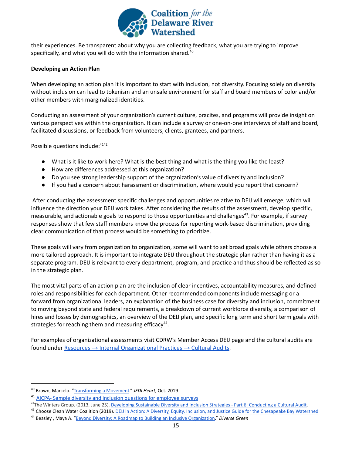

their experiences. Be transparent about why you are collecting feedback, what you are trying to improve specifically, and what you will do with the information shared.<sup>40</sup>

#### <span id="page-14-0"></span>**Developing an Action Plan**

When developing an action plan it is important to start with inclusion, not diversity. Focusing solely on diversity without inclusion can lead to tokenism and an unsafe environment for staff and board members of color and/or other members with marginalized identities.

Conducting an assessment of your organization's current culture, pracites, and programs will provide insight on various perspectives within the organization. It can include a survey or one-on-one interviews of staff and board, facilitated discussions, or feedback from volunteers, clients, grantees, and partners.

Possible questions include: 4142

- What is it like to work here? What is the best thing and what is the thing you like the least?
- How are differences addressed at this organization?
- Do you see strong leadership support of the organization's value of diversity and inclusion?
- If you had a concern about harassment or discrimination, where would you report that concern?

After conducting the assessment specific challenges and opportunities relative to DEIJ will emerge, which will influence the direction your DEIJ work takes. After considering the results of the assessment, develop specific, measurable, and actionable goals to respond to those opportunities and challenges<sup>43</sup>. For example, if survey responses show that few staff members know the process for reporting work-based discrimination, providing clear communication of that process would be something to prioritize.

These goals will vary from organization to organization, some will want to set broad goals while others choose a more tailored approach. It is important to integrate DEIJ throughout the strategic plan rather than having it as a separate program. DEIJ is relevant to every department, program, and practice and thus should be reflected as so in the strategic plan.

The most vital parts of an action plan are the inclusion of clear incentives, accountability measures, and defined roles and responsibilities for each department. Other recommended components include messaging or a forward from organizational leaders, an explanation of the business case for diversity and inclusion, commitment to moving beyond state and federal requirements, a breakdown of current workforce diversity, a comparison of hires and losses by demographics, an overview of the DEIJ plan, and specific long term and short term goals with strategies for reaching them and measuring efficacy $44$ .

For examples of organizational assessments visit CDRW's Member Access DEIJ page and the cultural audits are found under Resources → Internal [Organizational](https://drive.google.com/drive/folders/1gqLCLokuB6Mc7ivLgoYFGNNIEhvJRVvD) Practices → Cultural Audits.

<sup>40</sup> Brown, Marcelo. "[Transforming a Movement](http://static1.squarespace.com/static/5c69d03c7788977a41b9177f/t/5dc2e21902f6c23ce2b46447/1573052975475/TransformingaMovement_Nov2019.pdf)." *JEDI Heart*, Oct. 2019

<sup>&</sup>lt;sup>41</sup> AICPA- Sample diversity and inclusion questions for [employee](https://www.aicpa.org/content/dam/aicpa/interestareas/privatecompaniespracticesection/humancapital/diversity/sample-diversity-and-inclusion-questions-for-employee-surveys.pdf) surveys

<sup>&</sup>lt;sup>42</sup>The Winters Group. (2013, June 25). Developing Sustainable [Diversity and Inclusion Strategies - Part 6: Conducting](http://www.theinclusionsolution.me/developing-sustainable-diversity-and-inclusion-strategies-part-6-conducting-a-cultural-audit/) a Cultural Audit.

<sup>&</sup>lt;sup>43</sup> Choose Clean Water Coalition (2019). DEIJ in Action: [A Diversity, Equity, Inclusion, and Justice Guide](https://drive.google.com/drive/folders/1GYbIg2EWwSEJe7pcU3zGEpGQDUWK2CS3) for the Chesapeake Bay Watershed

<sup>44</sup> Beasley , Maya A. "Beyond Diversity: A Roadmap to [Building an Inclusive Organization.](http://www.diversegreen.org/wp-content/uploads/2017/05/BeyondDiversity_Report.05.24.2017.pdf)" *Diverse Green*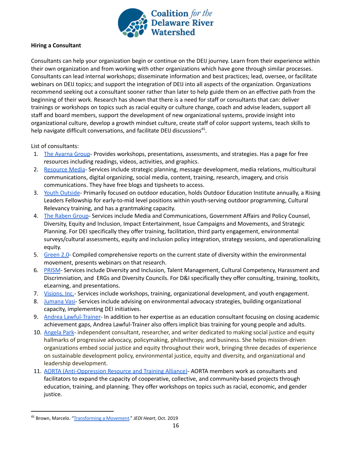

#### <span id="page-15-0"></span>**Hiring a Consultant**

Consultants can help your organization begin or continue on the DEIJ journey. Learn from their experience within their own organization and from working with other organizations which have gone through similar processes. Consultants can lead internal workshops; disseminate information and best practices; lead, oversee, or facilitate webinars on DEIJ topics; and support the integration of DEIJ into all aspects of the organization. Organizations recommend seeking out a consultant sooner rather than later to help guide them on an effective path from the beginning of their work. Research has shown that there is a need for staff or consultants that can: deliver trainings or workshops on topics such as racial equity or culture change, coach and advise leaders, support all staff and board members, support the development of new organizational systems, provide insight into organizational culture, develop a growth mindset culture, create staff of color support systems, teach skills to help navigate difficult conversations, and facilitate DEIJ discussions<sup>45</sup>.

List of consultants:

- 1. The [Avarna](https://theavarnagroup.com/) Group- Provides workshops, presentations, assessments, and strategies. Has a page for free resources including readings, videos, activities, and graphics.
- 2. [Resource](http://www.resource-media.org/) Media- Services include strategic planning, message development, media relations, multicultural communications, digital organizing, social media, content, training, research, imagery, and crisis communications. They have free blogs and tipsheets to access.
- 3. Youth [Outside](http://www.youthoutside.org/) Primarily focused on outdoor education, holds Outdoor Education Institute annually, a Rising Leaders Fellowship for early-to-mid level positions within youth-serving outdoor programming, Cultural Relevancy training, and has a grantmaking capacity.
- 4. The [Raben](https://rabengroup.com/) Group- Services include Media and Communications, Government Affairs and Policy Counsel, Diversity, Equity and Inclusion, Impact Entertainment, Issue Campaigns and Movements, and Strategic Planning. For DEI specifically they offer training, facilitation, third party engagement, environmental surveys/cultural assessments, equity and inclusion policy integration, strategy sessions, and operationalizing equity.
- 5. [Green](https://www.diversegreen.org/) 2.0- Compiled comprehensive reports on the current state of diversity within the environmental movement, presents webinars on that research.
- 6. [PRISM](https://www.prismdiversity.com/) Services include Diversity and Inclusion, Talent Management, Cultural Competency, Harassment and Discrimniation, and ERGs and Diversity Councils. For D&I specifically they offer consulting, training, toolkits, eLearning, and presentations.
- 7. [Visions,](https://www.visions-inc.org/) Inc.- Services include workshops, training, organizational development, and youth engagement.
- 8. [Jumana](http://jvasiconsulting.com) Vasi- Services include advising on environmental advocacy strategies, building organizational capacity, implementing DEI initiatives.
- 9. Andrea [Lawful-Trainer](mailto:lawful1992@gmail.com) In addition to her expertise as an education consultant focusing on closing academic achievement gaps, Andrea Lawful-Trainer also offers implicit bias training for young people and adults.
- 10. [Angela](http://www.sustainabilityleadersnetwork.org/fellows/angela-park/) Park- independent consultant, researcher, and writer dedicated to making social justice and equity hallmarks of progressive advocacy, policymaking, philanthropy, and business. She helps mission-driven organizations embed social justice and equity throughout their work, bringing three decades of experience on sustainable development policy, environmental justice, equity and diversity, and organizational and leadership development.
- 11. AORTA [\(Anti-Oppression](http://aorta.coop/) Resource and Training Alliance)- AORTA members work as consultants and facilitators to expand the capacity of cooperative, collective, and community-based projects through education, training, and planning. They offer workshops on topics such as racial, economic, and gender justice.

<sup>45</sup> Brown, Marcelo. "[Transforming a Movement](http://static1.squarespace.com/static/5c69d03c7788977a41b9177f/t/5dc2e21902f6c23ce2b46447/1573052975475/TransformingaMovement_Nov2019.pdf)." *JEDI Heart*, Oct. 2019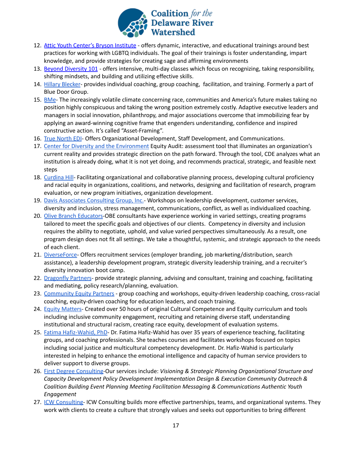

- 12. Attic Youth Center's Bryson [Institute](https://www.atticyouthcenter.org/bryson-institute) offers dynamic, interactive, and educational trainings around best practices for working with LGBTQ individuals. The goal of their trainings is foster understanding, impart knowledge, and provide strategies for creating sage and affirming environments
- 13. Beyond [Diversity](https://www.bd101.org/) 101 offers intensive, multi-day classes which focus on recognizing, taking responsibility, shifting mindsets, and building and utilizing effective skills.
- 14. Hillary [Blecker](https://www.hillaryblecker.com/) provides individual coaching, group coaching, facilitation, and training. Formerly a part of Blue Door Group.
- 15. [BMe](https://bmecommunity.org/asset-framing/) The increasingly volatile climate concerning race, communities and America's future makes taking no position highly conspicuous and taking the wrong position extremely costly. Adaptive executive leaders and managers in social innovation, philanthropy, and major associations overcome that immobilizing fear by applying an award-winning cognitive frame that engenders understanding, confidence and inspired constructive action. It's called "Asset-Framing".
- 16. True [North](https://www.truenorthedi.com/) EDI- Offers Organizational Development, Staff Development, and Communications.
- 17. Center for Diversity and the [Environment](https://www.cdeinspires.org/) Equity Audit: assessment tool that illuminates an organization's current reality and provides strategic direction on the path forward. Through the tool, CDE analyzes what an institution is already doing, what it is not yet doing, and recommends practical, strategic, and feasible next steps
- 18. [Curdina](https://curdinahill.org/consulting/) Hill- Facilitating organizational and collaborative planning process, developing cultural proficiency and racial equity in organizations, coalitions, and networks, designing and facilitation of research, program evaluation, or new program initiatives, organization development.
- 19. Davis Associates [Consulting](https://www.davisassociatesgroup.com/workshops.HTM) Group, Inc.- Workshops on leadership development, customer services, diversity and inclusion, stress management, communications, conflict, as well as individualized coaching.
- 20. Olive Branch [Educators-](https://www.obeducators.com/services)OBE consultants have experience working in varied settings, creating programs tailored to meet the specific goals and objectives of our clients. Competency in diversity and inclusion requires the ability to negotiate, uphold, and value varied perspectives simultaneously. As a result, one program design does not fit all settings. We take a thoughtful, systemic, and strategic approach to the needs of each client.
- 21. [DiverseForce](https://www.diverseforce.com/) Offers recruitment services (employer branding, job marketing/distribution, search assistance), a leadership development program, strategic diversity leadership training, and a recruiter's diversity innovation boot camp.
- 22. [Dragonfly](http://dragonfly-partners.com/) Partners- provide strategic planning, advising and consultant, training and coaching, facilitating and mediating, policy research/planning, evaluation.
- 23. [Community](http://4equityleaders.com/index.php/services/) Equity Partners group coaching and workshops, equity-driven leadership coaching, cross-racial coaching, equity-driven coaching for education leaders, and coach training.
- 24. Equity [Matters-](http://www.equitymattersnw.com/services.html) Created over 50 hours of original Cultural Competence and Equity curriculum and tools including inclusive community engagement, recruiting and retaining diverse staff, understanding institutional and structural racism, creating race equity, development of evaluation systems.
- 25. Fatima [Hafiz-Wahid,](mailto:fhafiz01@temple.edu) PhD- Dr. Fatima Hafiz-Wahid has over 35 years of experience teaching, facilitating groups, and coaching professionals. She teaches courses and facilitates workshops focused on topics including social justice and multicultural competency development. Dr. Hafiz-Wahid is particularly interested in helping to enhance the emotional intelligence and capacity of human service providers to deliver support to diverse groups.
- 26. First Degree [Consulting-](https://www.firstdegreellc.com/services)Our services include: *Visioning & Strategic Planning Organizational Structure and Capacity Development Policy Development Implementation Design & Execution Community Outreach & Coalition Building Event Planning Meeting Facilitation Messaging & Communications Authentic Youth Engagement*
- 27. ICW [Consulting-](https://www.icwconsulting.com/)ICW Consulting builds more effective partnerships, teams, and organizational systems. They work with clients to create a culture that strongly values and seeks out opportunities to bring different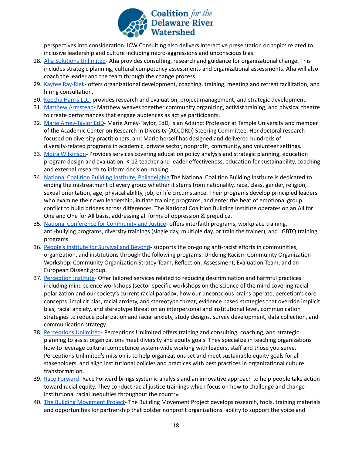

perspectives into consideration. ICW Consulting also delivers interactive presentation on topics related to inclusive leadership and culture including micro-aggressions and unconscious bias.

- 28. Aha Solutions [Unlimited](http://www.ahasolutions.org/consulting.html) Aha provides consulting, research and guidance for organizational change. This includes strategic planning, cultural competency assessments and organizational assessments. Aha will also coach the leader and the team through the change process.
- 29. Kaytee [Ray-Riek](http://www.kayteerayriek.com/organizations) offers organizational development, coaching, training, meeting and retreat facilitation, and hiring consultation.
- 30. [Keecha](https://khandassociates.com/) Harris LLC- provides research and evaluation, project management, and strategic development.
- 31. Matthew [Armstead](http://www.mlaformats.org/about) Matthew weaves together community organizing, activist training, and physical theatre to create performances that engage audiences as active participants.
- 32. Marie [Amey-Taylor](mailto:marie.amey-taylor@temple.edu) EdD- Marie Amey-Taylor, EdD, is an Adjunct Professor at Temple University and member of the Academic Center on Research in Diversity (ACCORD) Steering Committee. Her doctoral research focused on diversity practitioners, and Marie herself has designed and delivered hundreds of diversity-related programs in academic, private sector, nonprofit, community, and volunteer settings.
- 33. Moira [Wilkinson-](https://moirawilkinson.com/services/) Provides services covering education policy analysis and strategic planning, education program design and evaluation, K-12 teacher and leader effectiveness, education for sustainability, coaching and external research to inform decision-making.
- 34. National Coalition Building Institute, [Philadelphia](http://ncbiphilly.webs.com/) The National Coalition Building Institute is dedicated to ending the mistreatment of every group whether it stems from nationality, race, class, gender, religion, sexual orientation, age, physical ability, job, or life circumstance. Their programs develop principled leaders who examine their own leadership, initiate training programs, and enter the heat of emotional group conflict to build bridges across differences. The National Coalition Building Institute operates on an All for One and One for All basis, addressing all forms of oppression & prejudice.
- 35. National Conference for [Community](https://www.nccj.org/programs/programs-overview) and Justice- offers interfaith programs, workplace training, anti-bullying programs, diversity trainings (single day, multiple day, or train the trainer), and LGBTQ training programs.
- 36. People's [Institute](http://www.pisab.org/programs/#rae) for Survival and Beyond- supports the on-going anti-racist efforts in communities, organization, and institutions through the following programs: Undoing Racism Community Organization Workshop, Community Organization Stratey Team, Reflection, Assessment, Evaluation Team, and an European Dissent group.
- 37. [Perception](https://perception.org/services-and-solutions/) Institute- Offer tailored services related to reducing descrimination and harmful practices including mind science workshops (sector-specific workshops on the science of the mind covering racial polarization and our society's current racial paradox, how our unconscious brains operate, percetion's core concepts: implicit bias, racial anxiety, and stereotype threat, evidence based strategies that override implicit bias, racial anxiety, and stereotype threat on an interpersonal and institutional level, communication strategies to reduce polarization and racial anxiety, study designs, survey development, data collection, and communication strategy.
- 38. [Perceptions](http://www.perceptionsunltd.com/) Unlimited- Perceptions Unlimited offers training and consulting, coaching, and strategic planning to assist organizations meet diversity and equity goals. They specialize in teaching organizations how to leverage cultural competence system-wide working with leaders, staff and those you serve. Perceptions Unlimited's mission is to help organizations set and meet sustainable equity goals for all stakeholders, and align institutional policies and practices with best practices in organizational culture transformation.
- 39. Race [Forward](https://www.raceforward.org/) Race Forward brings systemic analysis and an innovative approach to help people take action toward racial equity. They conduct racial justice trainings which focus on how to challenge and change institutional racial inequities throughout the country.
- 40. The Building [Movement](https://www.buildingmovement.org/info/about_us) Project- The Building Movement Project develops research, tools, training materials and opportunities for partnership that bolster nonprofit organizations' ability to support the voice and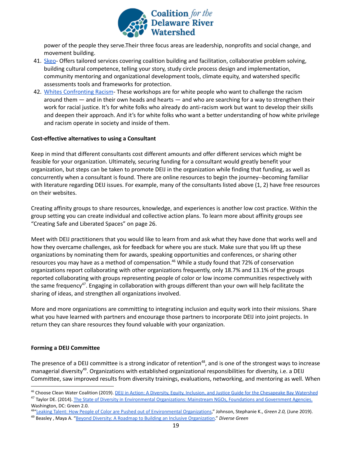

power of the people they serve.Their three focus areas are leadership, nonprofits and social change, and movement building.

- 41. [Skeo](https://www.skeo.com/) Offers tailored services covering coalition building and facilitation, collaborative problem solving, building cultural competence, telling your story, study circle process design and implementation, community mentoring and organizational development tools, climate equity, and watershed specific assessments tools and frameworks for protection.
- 42. Whites [Confronting](https://whitesconfrontingracism.org/) Racism- These workshops are for white people who want to challenge the racism around them — and in their own heads and hearts — and who are searching for a way to strengthen their work for racial justice. It's for white folks who already do anti-racism work but want to develop their skills and deepen their approach. And it's for white folks who want a better understanding of how white privilege and racism operate in society and inside of them.

#### <span id="page-18-0"></span>**Cost-effective alternatives to using a Consultant**

Keep in mind that different consultants cost different amounts and offer different services which might be feasible for your organization. Ultimately, securing funding for a consultant would greatly benefit your organization, but steps can be taken to promote DEIJ in the organization while finding that funding, as well as concurrently when a consultant is found. There are online resources to begin the journey--becoming familiar with literature regarding DEIJ issues. For example, many of the consultants listed above (1, 2) have free resources on their websites.

Creating affinity groups to share resources, knowledge, and experiences is another low cost practice. Within the group setting you can create individual and collective action plans. To learn more about affinity groups see "Creating Safe and Liberated Spaces" on page 26.

Meet with DEIJ practitioners that you would like to learn from and ask what they have done that works well and how they overcame challenges, ask for feedback for where you are stuck. Make sure that you lift up these organizations by nominating them for awards, speaking opportunities and conferences, or sharing other resources you may have as a method of compensation.<sup>46</sup> While a study found that 72% of conservation organizations report collaborating with other organizations frequently, only 18.7% and 13.1% of the groups reported collaborating with groups representing people of color or low income communities respectively with the same frequency<sup>47</sup>. Engaging in collaboration with groups different than your own will help facilitate the sharing of ideas, and strengthen all organizations involved.

More and more organizations are committing to integrating inclusion and equity work into their missions. Share what you have learned with partners and encourage those partners to incorporate DEIJ into joint projects. In return they can share resources they found valuable with your organization.

#### <span id="page-18-1"></span>**Forming a DEIJ Committee**

The presence of a DEIJ committee is a strong indicator of retention<sup>48</sup>, and is one of the strongest ways to increase managerial diversity<sup>49</sup>. Organizations with established organizational responsibilities for diversity, i.e. a DEIJ Committee, saw improved results from diversity trainings, evaluations, networking, and mentoring as well. When

<sup>47</sup> Taylor DE. (2014). The State of Diversity in Environmental [Organizations: Mainstream NGOs, Foundations and Government](https://www.diversegreen.org/wp-content/uploads/2015/10/FullReport_Green2.0_FINAL.pdf) Agencies. Washington, DC: Green 2.0.

<sup>48</sup>["Leaking Talent: How People of Color are Pushed out](http://diversegreen.org/leaking-talent/) of Environmental Organizations," Johnson, Stephanie K., *Green 2.0,* (June 2019).

<sup>&</sup>lt;sup>46</sup> Choose Clean Water Coalition (2019). *DEIJ in Action: [A Diversity, Equity, Inclusion, and Justice Guide](https://drive.google.com/drive/folders/1GYbIg2EWwSEJe7pcU3zGEpGQDUWK2CS3) for the Chesapeake Bay Watershed* 

<sup>49</sup> Beasley , Maya A. "Beyond Diversity: A Roadmap to [Building an Inclusive Organization.](http://www.diversegreen.org/wp-content/uploads/2017/05/BeyondDiversity_Report.05.24.2017.pdf)" *Diverse Green*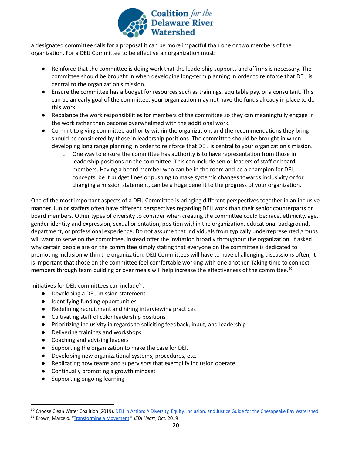

a designated committee calls for a proposal it can be more impactful than one or two members of the organization. For a DEIJ Committee to be effective an organization must:

- Reinforce that the committee is doing work that the leadership supports and affirms is necessary. The committee should be brought in when developing long-term planning in order to reinforce that DEIJ is central to the organization's mission.
- Ensure the committee has a budget for resources such as trainings, equitable pay, or a consultant. This can be an early goal of the committee, your organization may not have the funds already in place to do this work.
- Rebalance the work responsibilities for members of the committee so they can meaningfully engage in the work rather than become overwhelmed with the additional work.
- Commit to giving committee authority within the organization, and the recommendations they bring should be considered by those in leadership positions. The committee should be brought in when developing long range planning in order to reinforce that DEIJ is central to your organization's mission.
	- One way to ensure the committee has authority is to have representation from those in leadership positions on the committee. This can include senior leaders of staff or board members. Having a board member who can be in the room and be a champion for DEIJ concepts, be it budget lines or pushing to make systemic changes towards inclusivity or for changing a mission statement, can be a huge benefit to the progress of your organization.

One of the most important aspects of a DEIJ Committee is bringing different perspectives together in an inclusive manner. Junior staffers often have different perspectives regarding DEIJ work than their senior counterparts or board members. Other types of diversity to consider when creating the committee could be: race, ethnicity, age, gender identity and expression, sexual orientation, position within the organization, educational background, department, or professional experience. Do not assume that individuals from typically underrepresented groups will want to serve on the committee, instead offer the invitation broadly throughout the organization. If asked why certain people are on the committee simply stating that everyone on the committee is dedicated to promoting inclusion within the organization. DEIJ Committees will have to have challenging discussions often, it is important that those on the committee feel comfortable working with one another. Taking time to connect members through team building or over meals will help increase the effectiveness of the committee. 50

Initiatives for DEIJ committees can include $51$ :

- Developing a DEIJ mission statement
- Identifying funding opportunities
- Redefining recruitment and hiring interviewing practices
- Cultivating staff of color leadership positions
- Prioritizing inclusivity in regards to soliciting feedback, input, and leadership
- Delivering trainings and workshops
- Coaching and advising leaders
- Supporting the organization to make the case for DEIJ
- Developing new organizational systems, procedures, etc.
- Replicating how teams and supervisors that exemplify inclusion operate
- Continually promoting a growth mindset
- Supporting ongoing learning

<sup>&</sup>lt;sup>50</sup> Choose Clean Water Coalition (2019). DEIJ in Action: [A Diversity, Equity, Inclusion, and Justice Guide](https://drive.google.com/drive/folders/1GYbIg2EWwSEJe7pcU3zGEpGQDUWK2CS3) for the Chesapeake Bay Watershed

<sup>51</sup> Brown, Marcelo. "[Transforming a Movement](http://static1.squarespace.com/static/5c69d03c7788977a41b9177f/t/5dc2e21902f6c23ce2b46447/1573052975475/TransformingaMovement_Nov2019.pdf)." *JEDI Heart*, Oct. 2019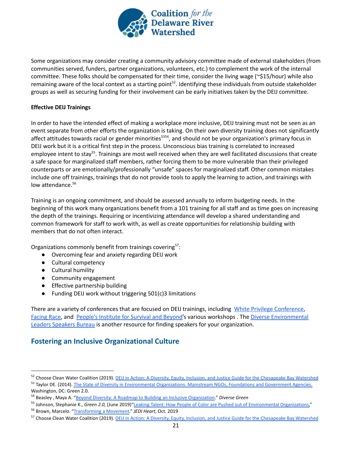

Some organizations may consider creating a community advisory committee made of external stakeholders (from communities served, funders, partner organizations, volunteers, etc.) to complement the work of the internal committee. These folks should be compensated for their time, consider the living wage (~\$15/hour) while also remaining aware of the local context as a starting point<sup>52</sup>. Identifying these individuals from outside stakeholder groups as well as securing funding for their involvement can be early initiatives taken by the DEIJ committee.

## <span id="page-20-0"></span>**Effective DEIJ Trainings**

In order to have the intended effect of making a workplace more inclusive, DEIJ training must not be seen as an event separate from other efforts the organization is taking. On their own diversity training does not significantly affect attitudes towards racial or gender minorities<sup>5354</sup>, and should not be your organization's primary focus in DEIJ work but it is a critical first step in the process. Unconscious bias training is correlated to increased employee intent to stay<sup>55</sup>. Trainings are most well received when they are well facilitated discussions that create a safe space for marginalized staff members, rather forcing them to be more vulnerable than their privileged counterparts or are emotionally/professionally "unsafe" spaces for marginalized staff. Other common mistakes include one off trainings, trainings that do not provide tools to apply the learning to action, and trainings with low attendance. 56

Training is an ongoing commitment, and should be assessed annually to inform budgeting needs. In the beginning of this work many organizations benefit from a 101 training for all staff and as time goes on increasing the depth of the trainings. Requiring or incentivizing attendance will develop a shared understanding and common framework for staff to work with, as well as create opportunities for relationship building with members that do not often interact.

Organizations commonly benefit from trainings covering<sup>57</sup>:

- Overcoming fear and anxiety regarding DEIJ work
- Cultural competency
- Cultural humility
- Community engagement
- Effective partnership building
- Funding DEIJ work without triggering 501(c)3 limitations

There are a variety of conferences that are focused on DEIJ trainings, including White Privilege [Conference](https://www.whiteprivilegeconference.com/), [Facing](https://facingrace.raceforward.org/) Race, and People's [Institute](https://www.pisab.org/) for Survival and Beyond's various workshops . The Diverse [Environmental](http://delnsb.com/) Leaders [Speakers](http://delnsb.com/) Bureau is another resource for finding speakers for your organization.

# **Fostering an Inclusive Organizational Culture**

<sup>52</sup> Choose Clean Water Coalition (2019). DEIJ in Action: [A Diversity, Equity, Inclusion, and Justice Guide](https://drive.google.com/drive/folders/1GYbIg2EWwSEJe7pcU3zGEpGQDUWK2CS3) for the Chesapeake Bay Watershed

<sup>53</sup> Taylor DE. (2014). The State of Diversity in Environmental [Organizations: Mainstream NGOs, Foundations and Government](https://www.diversegreen.org/wp-content/uploads/2015/10/FullReport_Green2.0_FINAL.pdf) Agencies. Washington, DC: Green 2.0.

<sup>54</sup> Beasley , Maya A. "Beyond Diversity: A Roadmap to [Building an Inclusive Organization.](http://www.diversegreen.org/wp-content/uploads/2017/05/BeyondDiversity_Report.05.24.2017.pdf)" *Diverse Green*

<sup>55</sup> Johnson, Stephanie K., *Green 2.0*, (June 2019)"Leaking [Talent: How People of Color are Pushed out of Environmental](http://diversegreen.org/leaking-talent/) Organizations,"

<sup>56</sup> Brown, Marcelo. "[Transforming a Movement](http://static1.squarespace.com/static/5c69d03c7788977a41b9177f/t/5dc2e21902f6c23ce2b46447/1573052975475/TransformingaMovement_Nov2019.pdf)." *JEDI Heart*, Oct. 2019

<sup>&</sup>lt;sup>57</sup> Choose Clean Water Coalition (2019). DEIJ in Action: [A Diversity, Equity, Inclusion, and Justice Guide](https://drive.google.com/drive/folders/1GYbIg2EWwSEJe7pcU3zGEpGQDUWK2CS3) for the Chesapeake Bay Watershed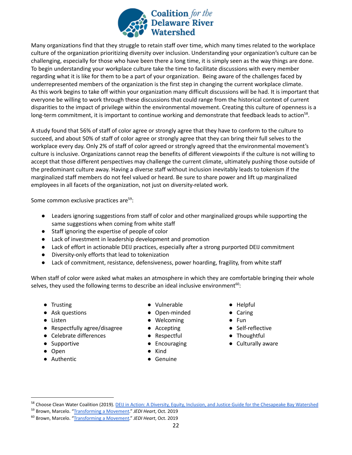

Many organizations find that they struggle to retain staff over time, which many times related to the workplace culture of the organization prioritizing diversity over inclusion. Understanding your organization's culture can be challenging, especially for those who have been there a long time, it is simply seen as the way things are done. To begin understanding your workplace culture take the time to facilitate discussions with every member regarding what it is like for them to be a part of your organization. Being aware of the challenges faced by underrepresented members of the organization is the first step in changing the current workplace climate. As this work begins to take off within your organization many difficult discussions will be had. It is important that everyone be willing to work through these discussions that could range from the historical context of current disparities to the impact of privilege within the environmental movement. Creating this culture of openness is a long-term commitment, it is important to continue working and demonstrate that feedback leads to action<sup>58</sup>.

A study found that 56% of staff of color agree or strongly agree that they have to conform to the culture to succeed, and about 50% of staff of color agree or strongly agree that they can bring their full selves to the workplace every day. Only 2% of staff of color agreed or strongly agreed that the environmental movement's culture is inclusive. Organizations cannot reap the benefits of different viewpoints if the culture is not willing to accept that those different perspectives may challenge the current climate, ultimately pushing those outside of the predominant culture away. Having a diverse staff without inclusion inevitably leads to tokenism if the marginalized staff members do not feel valued or heard. Be sure to share power and lift up marginalized employees in all facets of the organization, not just on diversity-related work.

Some common exclusive practices are<sup>59</sup>:

- Leaders ignoring suggestions from staff of color and other marginalized groups while supporting the same suggestions when coming from white staff
- Staff ignoring the expertise of people of color
- Lack of investment in leadership development and promotion
- Lack of effort in actionable DEIJ practices, especially after a strong purported DEIJ commitment
- Diversity-only efforts that lead to tokenization
- Lack of commitment, resistance, defensiveness, power hoarding, fragility, from white staff

When staff of color were asked what makes an atmosphere in which they are comfortable bringing their whole selves, they used the following terms to describe an ideal inclusive environment $^{60}$ :

- Trusting
- Ask questions
- Listen
- Respectfully agree/disagree
- Celebrate differences
- Supportive
- Open
- <span id="page-21-0"></span>● Authentic
- Vulnerable
- Open-minded
- Welcoming
- Accepting
- Respectful
- Encouraging
- Kind
- Genuine
- Helpful
- Caring
- Fun
- Self-reflective
- Thoughtful
- Culturally aware

<sup>&</sup>lt;sup>58</sup> Choose Clean Water Coalition (2019). **DEIJ in Action: [A Diversity, Equity, Inclusion, and Justice Guide](https://drive.google.com/drive/folders/1GYbIg2EWwSEJe7pcU3zGEpGQDUWK2CS3) for the Chesapeake Bay Watershed** 

<sup>59</sup> Brown, Marcelo. "[Transforming a Movement](http://static1.squarespace.com/static/5c69d03c7788977a41b9177f/t/5dc2e21902f6c23ce2b46447/1573052975475/TransformingaMovement_Nov2019.pdf)." *JEDI Heart*, Oct. 2019

<sup>60</sup> Brown, Marcelo. "[Transforming a Movement](http://static1.squarespace.com/static/5c69d03c7788977a41b9177f/t/5dc2e21902f6c23ce2b46447/1573052975475/TransformingaMovement_Nov2019.pdf)." *JEDI Heart*, Oct. 2019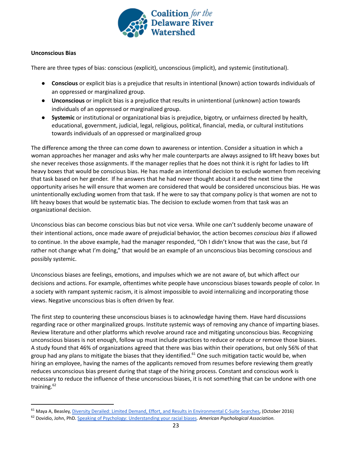

#### **Unconscious Bias**

There are three types of bias: conscious (explicit), unconscious (implicit), and systemic (institutional).

- **Conscious** or explicit bias is a prejudice that results in intentional (known) action towards individuals of an oppressed or marginalized group.
- **Unconscious** or implicit bias is a prejudice that results in unintentional (unknown) action towards individuals of an oppressed or marginalized group.
- **Systemic** or institutional or organizational bias is prejudice, bigotry, or unfairness directed by health, educational, government, judicial, legal, religious, political, financial, media, or cultural institutions towards individuals of an oppressed or marginalized group

The difference among the three can come down to awareness or intention. Consider a situation in which a woman approaches her manager and asks why her male counterparts are always assigned to lift heavy boxes but she never receives those assignments. If the manager replies that he does not think it is right for ladies to lift heavy boxes that would be conscious bias. He has made an intentional decision to exclude women from receiving that task based on her gender. If he answers that he had never thought about it and the next time the opportunity arises he will ensure that women are considered that would be considered unconscious bias. He was unintentionally excluding women from that task. If he were to say that company policy is that women are not to lift heavy boxes that would be systematic bias. The decision to exclude women from that task was an organizational decision.

Unconscious bias can become conscious bias but not vice versa. While one can't suddenly become unaware of their intentional actions, once made aware of prejudicial behavior, the action becomes *conscious bias* if allowed to continue. In the above example, had the manager responded, "Oh I didn't know that was the case, but I'd rather not change what I'm doing," that would be an example of an unconscious bias becoming conscious and possibly systemic.

Unconscious biases are feelings, emotions, and impulses which we are not aware of, but which affect our decisions and actions. For example, oftentimes white people have unconscious biases towards people of color. In a society with rampant systemic racism, it is almost impossible to avoid internalizing and incorporating those views. Negative unconscious bias is often driven by fear.

The first step to countering these unconscious biases is to acknowledge having them. Have hard discussions regarding race or other marginalized groups. Institute systemic ways of removing any chance of imparting biases. Review literature and other platforms which revolve around race and mitigating unconscious bias. Recognizing unconscious biases is not enough, follow up must include practices to reduce or reduce or remove those biases. A study found that 46% of organizations agreed that there was bias within their operations, but only 56% of that group had any plans to mitigate the biases that they identified.<sup>61</sup> One such mitigation tactic would be, when hiring an employee, having the names of the applicants removed from resumes before reviewing them greatly reduces unconscious bias present during that stage of the hiring process. Constant and conscious work is necessary to reduce the influence of these unconscious biases, it is not something that can be undone with one training.<sup>62</sup>

<sup>61</sup> Maya A, Beasley, Diversity Derailed: Limited Demand, [Effort, and Results in Environmental C-Suite Searches,](http://www.diversegreen.org/diversity-derailed/) (October 2016)

<sup>62</sup> Dovidio, John, PhD. [Speaking of Psychology: Understanding](https://www.apa.org/research/action/speaking-of-psychology/understanding-biases) your racial biases*. American Psychological Association.*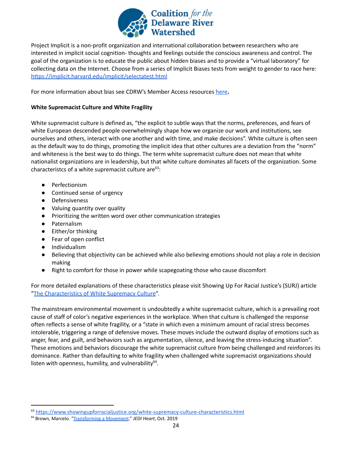

Project Implicit is a non-profit organization and international collaboration between researchers who are interested in implicit social cognition- thoughts and feelings outside the conscious awareness and control. The goal of the organization is to educate the public about hidden biases and to provide a "virtual laboratory" for collecting data on the Internet. Choose from a series of Implicit Biases tests from weight to gender to race here: <https://implicit.harvard.edu/implicit/selectatest.html>

For more information about bias see CDRW's Member Access resources [here](https://drive.google.com/drive/folders/1XOwDlBKjlE1AZ7KTM5RMwzN2EaTcRiuc)**.**

## <span id="page-23-0"></span>**White Supremacist Culture and White Fragility**

White supremacist culture is defined as, "the explicit to subtle ways that the norms, preferences, and fears of white European descended people overwhelmingly shape how we organize our work and institutions, see ourselves and others, interact with one another and with time, and make decisions". White culture is often seen as the default way to do things, promoting the implicit idea that other cultures are a deviation from the "norm" and whiteness is the best way to do things. The term white supremacist culture does not mean that white nationalist organizations are in leadership, but that white culture dominates all facets of the organization. Some characteristcs of a white supremacist culture are $^{63}$ :

- Perfectionism
- Continued sense of urgency
- Defensiveness
- Valuing quantity over quality
- Prioritizing the written word over other communication strategies
- Paternalism
- Either/or thinking
- Fear of open conflict
- Individualism
- Believing that objectivity can be achieved while also believing emotions should not play a role in decision making
- Right to comfort for those in power while scapegoating those who cause discomfort

For more detailed explanations of these characteristics please visit Showing Up For Racial Justice's (SURJ) article "The [Characteristics](https://www.showingupforracialjustice.org/white-supremacy-culture-characteristics.html) of White Supremacy Culture".

The mainstream environmental movement is undoubtedly a white supremacist culture, which is a prevailing root cause of staff of color's negative experiences in the workplace. When that culture is challenged the response often reflects a sense of white fragility, or a "state in which even a minimum amount of racial stress becomes intolerable, triggering a range of defensive moves. These moves include the outward display of emotions such as anger, fear, and guilt, and behaviors such as argumentation, silence, and leaving the stress-inducing situation". These emotions and behaviors discourage the white supremacist culture from being challenged and reinforces its dominance. Rather than defaulting to white fragility when challenged white supremacist organizations should listen with openness, humility, and vulnerability $^{64}$ .

<sup>63</sup> <https://www.showingupforracialjustice.org/white-supremacy-culture-characteristics.html>

<sup>64</sup> Brown, Marcelo. "[Transforming a Movement](http://static1.squarespace.com/static/5c69d03c7788977a41b9177f/t/5dc2e21902f6c23ce2b46447/1573052975475/TransformingaMovement_Nov2019.pdf)." *JEDI Heart*, Oct. 2019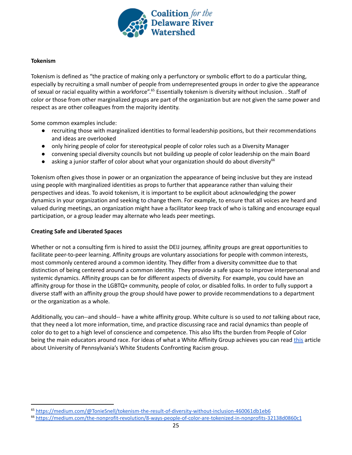

#### <span id="page-24-0"></span>**Tokenism**

Tokenism is defined as "the practice of making only a perfunctory or symbolic effort to do a particular thing, especially by recruiting a small number of people from underrepresented groups in order to give the appearance of sexual or racial equality within a workforce".<sup>65</sup> Essentially tokenism is diversity without inclusion. . Staff of color or those from other marginalized groups are part of the organization but are not given the same power and respect as are other colleagues from the majority identity.

Some common examples include:

- recruiting those with marginalized identities to formal leadership positions, but their recommendations and ideas are overlooked
- only hiring people of color for stereotypical people of color roles such as a Diversity Manager
- convening special diversity councils but not building up people of color leadership on the main Board
- asking a junior staffer of color about what your organization should do about diversity<sup>66</sup>

Tokenism often gives those in power or an organization the appearance of being inclusive but they are instead using people with marginalized identities as props to further that appearance rather than valuing their perspectives and ideas. To avoid tokenism, it is important to be explicit about acknowledging the power dynamics in your organization and seeking to change them. For example, to ensure that all voices are heard and valued during meetings, an organization might have a facilitator keep track of who is talking and encourage equal participation, or a group leader may alternate who leads peer meetings.

#### <span id="page-24-1"></span>**Creating Safe and Liberated Spaces**

Whether or not a consulting firm is hired to assist the DEIJ journey, affinity groups are great opportunities to facilitate peer-to-peer learning. Affinity groups are voluntary associations for people with common interests, most commonly centered around a common identity. They differ from a diversity committee due to that distinction of being centered around a common identity. They provide a safe space to improve interpersonal and systemic dynamics. Affinity groups can be for different aspects of diversity. For example, you could have an affinity group for those in the LGBTQ+ community, people of color, or disabled folks. In order to fully support a diverse staff with an affinity group the group should have power to provide recommendations to a department or the organization as a whole.

Additionally, you can--and should-- have a white affinity group. White culture is so used to *not* talking about race, that they need a lot more information, time, and practice discussing race and racial dynamics than people of color do to get to a high level of conscience and competence. This also lifts the burden from People of Color being the main educators around race. For ideas of what a White Affinity Group achieves you can read [this](https://urbanedjournal.gse.upenn.edu/sites/default/files/pdf_archive/56-60--Michael_and_Conger.pdf) article about University of Pennsylvania's White Students Confronting Racism group.

<sup>65</sup> <https://medium.com/@TonieSnell/tokenism-the-result-of-diversity-without-inclusion-460061db1eb6>

<sup>66</sup> <https://medium.com/the-nonprofit-revolution/8-ways-people-of-color-are-tokenized-in-nonprofits-32138d0860c1>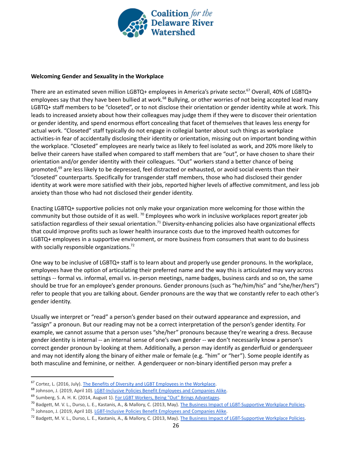

#### <span id="page-25-0"></span>**Welcoming Gender and Sexuality in the Workplace**

There are an estimated seven million LGBTQ+ employees in America's private sector.<sup>67</sup> Overall, 40% of LGBTQ+ employees say that they have been bullied at work.<sup>68</sup> Bullying, or other worries of not being accepted lead many LGBTQ+ staff members to be "closeted", or to not disclose their orientation or gender identity while at work. This leads to increased anxiety about how their colleagues may judge them if they were to discover their orientation or gender identity, and spend enormous effort concealing that facet of themselves that leaves less energy for actual work. "Closeted" staff typically do not engage in collegial banter about such things as workplace activities-in fear of accidentally disclosing their identity or orientation, missing out on important bonding within the workplace. "Closeted" employees are nearly twice as likely to feel isolated as work, and 20% more likely to belive their careers have stalled when compared to staff members that are "out", or have chosen to share their orientation and/or gender identity with their colleagues. "Out" workers stand a better chance of being promoted,<sup>69</sup> are less likely to be depressed, feel distracted or exhausted, or avoid social events than their "closeted" counterparts. Specifically for transgender staff members, those who had disclosed their gender identity at work were more satisfied with their jobs, reported higher levels of affective commitment, and less job anxiety than those who had not disclosed their gender identity.

Enacting LGBTQ+ supportive policies not only make your organization more welcoming for those within the community but those outside of it as well.  $^{70}$  Employees who work in inclusive workplaces report greater job satisfaction regardless of their sexual orientation.<sup>71</sup> Diversity-enhancing policies also have organizational effects that could improve profits such as lower health insurance costs due to the improved health outcomes for LGBTQ+ employees in a supportive environment, or more business from consumers that want to do business with socially responsible organizations.<sup>72</sup>

One way to be inclusive of LGBTQ+ staff is to learn about and properly use gender pronouns. In the workplace, employees have the option of articulating their preferred name and the way this is articulated may vary across settings -- formal vs. informal, email vs. in-person meetings, name badges, business cards and so on, the same should be true for an employee's gender pronouns. Gender pronouns (such as "he/him/his" and "she/her/hers") refer to people that you are talking about. Gender pronouns are the way that we constantly refer to each other's gender identity.

Usually we interpret or "read" a person's gender based on their outward appearance and expression, and "assign" a pronoun. But our reading may not be a correct interpretation of the person's gender identity. For example, we cannot assume that a person uses "she/her" pronouns because they're wearing a dress. Because gender identity is internal -- an internal sense of one's own gender -- we don't necessarily know a person's correct gender pronoun by looking at them. Additionally, a person may identify as genderfluid or genderqueer and may not identify along the binary of either male or female (e.g. "him" or "her"). Some people identify as both masculine and feminine, or neither. A genderqueer or non-binary identified person may prefer a

<sup>67</sup> Cortez, L. (2016, July). The Benefits of Diversity [and LGBT Employees in the Workplace.](https://njfcu.org/benefits-diversity-lgbt-employees-workplace/)

<sup>68</sup> Johnson, J. (2019, April 10). LGBT-Inclusive Policies [Benefit Employees and Companies Alike.](https://www.uschamber.com/co/start/strategy/lgbt-inclusive-workplace)

<sup>&</sup>lt;sup>69</sup> Sumberg, S. A. H. K. (2014, August 1). For LGBT Workers, [Being "Out" Brings Advantages](https://hbr.org/2011/07/for-lgbt-workers-being-out-brings-advantages).

<sup>&</sup>lt;sup>70</sup> Badgett, M. V. L., Durso, L. E., Kastanis, A., & Mallory, C. (2013, May). [The Business Impact of LGBT-Supportive](https://williamsinstitute.law.ucla.edu/wp-content/uploads/Business-Impact-LGBT-Policies-Full-May-2013.pdf) Workplace Policies.

<sup>&</sup>lt;sup>71</sup> Johnson, J. (2019, April 10). LGBT-Inclusive Policies [Benefit Employees and Companies Alike.](https://www.uschamber.com/co/start/strategy/lgbt-inclusive-workplace)

<sup>&</sup>lt;sup>72</sup> Badgett, M. V. L., Durso, L. E., Kastanis, A., & Mallory, C. (2013, May). [The Business Impact of LGBT-Supportive](https://williamsinstitute.law.ucla.edu/wp-content/uploads/Business-Impact-LGBT-Policies-Full-May-2013.pdf) Workplace Policies.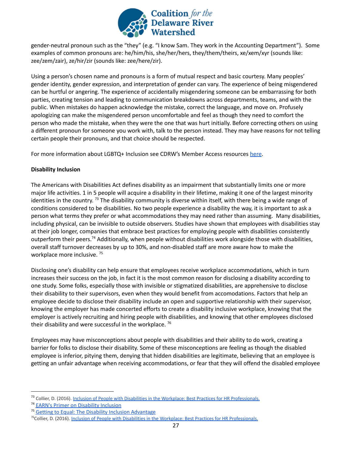

gender-neutral pronoun such as the "they" (e.g. "I know Sam. They work in the Accounting Department"). Some examples of common pronouns are: he/him/his, she/her/hers, they/them/theirs, xe/xem/xyr (sounds like: zee/zem/zair), ze/hir/zir (sounds like: zee/here/zir).

Using a person's chosen name and pronouns is a form of mutual respect and basic courtesy. Many peoples' gender identity, gender expression, and interpretation of gender can vary. The experience of being misgendered can be hurtful or angering. The experience of accidentally misgendering someone can be embarrassing for both parties, creating tension and leading to communication breakdowns across departments, teams, and with the public. When mistakes do happen acknowledge the mistake, correct the language, and move on. Profusely apologizing can make the misgendered person uncomfortable and feel as though they need to comfort the person who made the mistake, when they were the one that was hurt initially. Before correcting others on using a different pronoun for someone you work with, talk to the person instead. They may have reasons for not telling certain people their pronouns, and that choice should be respected.

For more information about LGBTQ+ Inclusion see CDRW's Member Access resources [here](https://drive.google.com/drive/folders/16qzefiYGSakK62kSDiePgUJ_aYjuiLcL).

#### <span id="page-26-0"></span>**Disability Inclusion**

The Americans with Disabilities Act defines disability as an impairment that substantially limits one or more major life activities. 1 in 5 people will acquire a disability in their lifetime, making it one of the largest minority identities in the country. <sup>73</sup> The disability community is diverse within itself, with there being a wide range of conditions considered to be disabilities. No two people experience a disability the way, it is important to ask a person what terms they prefer or what accommodations they may need rather than assuming. Many disabilities, including physical, can be invisible to outside observers. Studies have shown that employees with disabilities stay at their job longer, companies that embrace best practices for employing people with disabilities consistently outperform their peers.<sup>74</sup> Additionally, when people without disabilities work alongside those with disabilities, overall staff turnover decreases by up to 30%, and non-disabled staff are more aware how to make the workplace more inclusive.<sup>75</sup>

Disclosing one's disability can help ensure that employees receive workplace accommodations, which in turn increases their success on the job, in fact it is the most common reason for disclosing a disability according to one study. Some folks, especially those with invisible or stigmatized disabilities, are apprehensive to disclose their disability to their supervisors, even when they would benefit from accomodations. Factors that help an employee decide to disclose their disability include an open and supportive relationship with their supervisor, knowing the employer has made concerted efforts to create a disability inclusive workplace, knowing that the employer is actively recruiting and hiring people with disabilities, and knowing that other employees disclosed their disability and were successful in the workplace. <sup>76</sup>

Employees may have misconceptions about people with disabilities and their ability to do work, creating a barrier for folks to disclose their disability. Some of these misconceptions are feeling as though the disabled employee is inferior, pitying them, denying that hidden disabilities are legitimate, believing that an employee is getting an unfair advantage when receiving accommodations, or fear that they will offend the disabled employee

<sup>&</sup>lt;sup>73</sup> Collier, D. (2016). Inclusion of People with Disabilities [in the Workplace: Best Practices for HR Professionals.](https://digitalcommons.ilr.cornell.edu/cgi/viewcontent.cgi?article=1145&context=student)

<sup>&</sup>lt;sup>74</sup> EARN's Primer on [Disability](https://askearn.org/earns-primer-on-disability-inclusion/) Inclusion

<sup>75</sup> Getting to Equal: The Disability Inclusion [Advantage](https://www.accenture.com/t20181029T185446Z__w__/us-en/_acnmedia/PDF-89/Accenture-Disability-Inclusion-Research-Report.pdf)

<sup>&</sup>lt;sup>76</sup>Collier, D. (2016). Inclusion of People with Disabilities [in the Workplace: Best Practices for HR Professionals.](https://digitalcommons.ilr.cornell.edu/cgi/viewcontent.cgi?article=1145&context=student)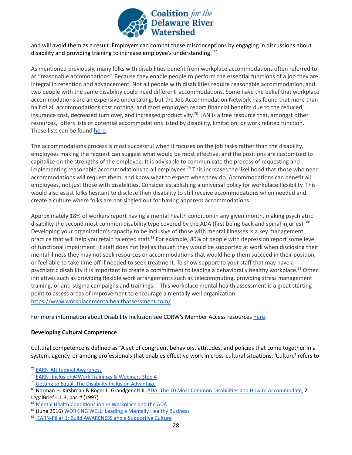

and will avoid them as a result. Employers can combat these misconceptions by engaging in discussions about disability and providing training to increase employee's understanding.<sup>77</sup>

As mentioned previously, many folks with disabilities benefit from workplace accommodations often referred to as "reasonable accomodations". Because they enable people to perform the essential functions of a job they are integral in retention and advancement. Not all people with disabilities require reasonable accommodation, and two people with the same disability could need different accommodations. Some have the belief that workplace accommodations are an expensive undertaking, but the Job Accommodation Network has found that more than half of all accommodations cost nothing, and most employers report financial benefits due to the reduced insurance cost, decreased turn over, and increased productivity.<sup>78</sup> JAN is a free resource that, amongst other resources, offers lists of potential accommodations listed by disability, limitation, or work related function. Those lists can be found [here.](https://askjan.org/a-to-z.cfm)

The accommodations process is most successful when it focuses on the job tasks rather than the disability, employees making the request can suggest what would be most effective, and the positions are customized to capitalize on the strengths of the employee. It is advisable to communicate the process of requesting and implementing reasonable accommodations to all employees.<sup>79</sup> This increases the likelihood that those who need accommodations will request them, and know what to expect when they do. Accommodations can benefit all employees, not just those with disabilities. Consider establishing a universal policy for workplace flexibility. This would also assist folks hesitant to disclose their disability to still receive accommodations when needed and create a culture where folks are not singled out for having apparent accommodations.

Approximately 18% of workers report having a mental health condition in any given month, making psychiatric disability the second most common disability type covered by the ADA (first being back and spinal injuries). <sup>80</sup> Developing your organization's capacity to be inclusive of those with mental illnesses is a key management practice that will help you retain talented staff.<sup>81</sup> For example, 80% of people with depression report some level of functional impairment. If staff does not feel as though they would be supported at work when disclosing their mental illness they may not seek resources or accommodations that would help them succeed in their position, or feel able to take time off if needed to seek treatment. To show support to your staff that may have a psychiatric disability it is important to create a commitment to leading a behaviorally healthy workplace.<sup>82</sup> Other initiatives such as providing flexible work arrangements such as telecommuting, providing stress management training, or anti-stigma campaigns and trainings.<sup>83</sup> This workplace mental health assessment is a great starting point to assess areas of improvement to encourage a mentally well organization: <https://www.workplacementalhealthassessment.com/>

For more information about Disability Inclusion see CDRW's Member Access resources [here](https://drive.google.com/drive/folders/1cIjYb6p5UhRfsC5Le1N35dnW6AwDASd9).

#### <span id="page-27-0"></span>**Developing Cultural Competence**

Cultural competence is defined as "A set of congruent behaviors, attitudes, and policies that come together in a system, agency, or among professionals that enables effective work in cross-cultural situations. 'Culture' refers to

<sup>77</sup> [EARN-Attitudinal](https://askearn.org/topics/creating-an-accessible-and-welcoming-workplace/attitudinal-awareness/) Awareness

<sup>78</sup> EARN- [Inclusion@Work](https://askearn.org/training-center/inclusionwork-trainings-webinars/#inclusion_step4) Trainings & Webinars Step 4

<sup>79</sup> Getting to Equal: The Disability Inclusion [Advantage](https://www.accenture.com/t20181029T185446Z__w__/us-en/_acnmedia/PDF-89/Accenture-Disability-Inclusion-Research-Report.pdf)

<sup>80</sup> Norman H. Kirshman & Roger L. Grandgenett II, ADA: The 10 Most Common Disabilities and How to [Accommodate](https://legalbrief.com/kirshman.html), 2 LegalBrief L.J. 3, par. # (1997)

<sup>81</sup> Mental Health [Conditions](https://adata.org/factsheet/health) in the Workplace and the ADA

<sup>82 (</sup>June 2016) [WORKING](http://workplacementalhealth.org/getattachment/Making-The-Business-Case/Link-2-Title/working-well-toolkit.pdf?lang=en-US) WELL: Leading a Mentally Healthy Business

<sup>83</sup> EARN-Pillar 1: Build [AWARENESS](https://askearn.org/mentalhealth/create-a-mental-health-friendly-workplace/build-awareness/) and a Supportive Culture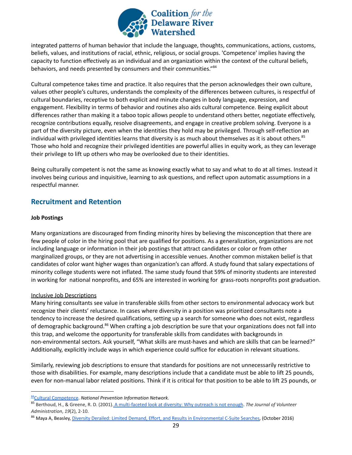

integrated patterns of human behavior that include the language, thoughts, communications, actions, customs, beliefs, values, and institutions of racial, ethnic, religious, or social groups. 'Competence' implies having the capacity to function effectively as an individual and an organization within the context of the cultural beliefs, behaviors, and needs presented by consumers and their communities."<sup>84</sup>

Cultural competence takes time and practice. It also requires that the person acknowledges their own culture, values other people's cultures, understands the complexity of the differences between cultures, is respectful of cultural boundaries, receptive to both explicit and minute changes in body language, expression, and engagement. Flexibility in terms of behavior and routines also aids cultural competence. Being explicit about differences rather than making it a taboo topic allows people to understand others better, negotiate effectively, recognize contributions equally, resolve disagreements, and engage in creative problem solving. Everyone is a part of the diversity picture, even when the identities they hold may be privileged. Through self-reflection an individual with privileged identities learns that diversity is as much about themselves as it is about others. 85 Those who hold and recognize their privileged identities are powerful allies in equity work, as they can leverage their privilege to lift up others who may be overlooked due to their identities.

Being culturally competent is not the same as knowing exactly what to say and what to do at all times. Instead it involves being curious and inquisitive, learning to ask questions, and reflect upon automatic assumptions in a respectful manner.

# <span id="page-28-0"></span>**Recruitment and Retention**

#### <span id="page-28-1"></span>**Job Postings**

Many organizations are discouraged from finding minority hires by believing the misconception that there are few people of color in the hiring pool that are qualified for positions. As a generalization, organizations are not including language or information in their job postings that attract candidates or color or from other marginalized groups, or they are not advertising in accessible venues. Another common mistaken belief is that candidates of color want higher wages than organization's can afford. A study found that salary expectations of minority college students were not inflated. The same study found that 59% of minority students are interested in working for national nonprofits, and 65% are interested in working for grass-roots nonprofits post graduation.

#### <span id="page-28-2"></span>Inclusive Job Descriptions

Many hiring consultants see value in transferable skills from other sectors to environmental advocacy work but recognize their clients' reluctance. In cases where diversity in a position was prioritized consultants note a tendency to increase the desired qualifications, setting up a search for someone who does not exist, regardless of demographic background.<sup>86</sup> When crafting a job description be sure that your organizations does not fall into this trap, and welcome the opportunity for transferable skills from candidates with backgrounds in non-environmental sectors. Ask yourself, "What skills are must-haves and which are skills that can be learned?" Additionally, explicitly include ways in which experience could suffice for education in relevant situations.

Similarly, reviewing job descriptions to ensure that standards for positions are not unnecessarily restrictive to those with disabilities. For example, many descriptions include that a candidate must be able to lift 25 pounds, even for non-manual labor related positions. Think if it is critical for that position to be able to lift 25 pounds, or

<sup>84</sup>[Cultural Competence](https://npin.cdc.gov/pages/cultural-competence). *National Prevention Information Network.*

<sup>85</sup> Berthoud, H., & Greene, R. D. (2001). A multi-faceted [look at diversity: Why outreach is not enough](https://www.choosecleanwater.org/s/A_Multi-Faceted_Look_at_Diversity.pdf). *The Journal of Volunteer Administration*, *19*(2), 2-10.

<sup>86</sup> Maya A, Beasley, *Diversity Derailed: Limited Demand, Effort, and Results in Environmental C-Suite Searches*, (October 2016)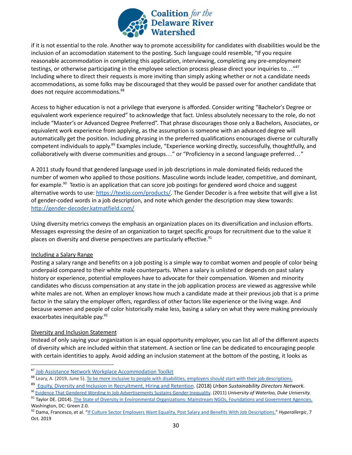

if it is not essential to the role. Another way to promote accessibility for candidates with disabilities would be the inclusion of an accomodation statement to the posting. Such language could resemble, "If you require reasonable accommodation in completing this application, interviewing, completing any pre-employment testings, or otherwise participating in the employee selection process please direct your inquiries to..."<sup>87</sup> Including where to direct their requests is more inviting than simply asking whether or not a candidate needs accommodations, as some folks may be discouraged that they would be passed over for another candidate that does not require accommodations.<sup>88</sup>

Access to higher education is not a privilege that everyone is afforded. Consider writing "Bachelor's Degree or equivalent work experience required" to acknowledge that fact. Unless absolutely necessary to the role, do not include "Master's or Advanced Degree Preferred". That phrase discourages those only a Bachelors, Associates, or equivalent work experience from applying, as the assumption is someone with an advanced degree will automatically get the position. Including phrasing in the preferred qualifications encourages diverse or culturally competent individuals to apply.<sup>89</sup> Examples include, "Experience working directly, successfully, thoughtfully, and collaboratively with diverse communities and groups..." or "Proficiency in a second language preferred..."

A 2011 study found that gendered language used in job descriptions in male dominated fields reduced the number of women who applied to those positions. Masculine words include leader, competitive, and dominant, for example.<sup>90</sup> Textio is an application that can score job postings for gendered word choice and suggest alternative words to use: <https://textio.com/products/>. The Gender Decoder is a free website that will give a list of gender-coded words in a job description, and note which gender the description may skew towards: <http://gender-decoder.katmatfield.com/>

Using diversity metrics conveys the emphasis an organization places on its diversification and inclusion efforts. Messages expressing the desire of an organization to target specific groups for recruitment due to the value it places on diversity and diverse perspectives are particularly effective.<sup>91</sup>

#### <span id="page-29-0"></span>Including a Salary Range

Posting a salary range and benefits on a job posting is a simple way to combat women and people of color being underpaid compared to their white male counterparts. When a salary is unlisted or depends on past salary history or experience, potential employees have to advocate for their compensation. Women and minority candidates who discuss compensation at any state in the job application process are viewed as aggressive while white males are not. When an employer knows how much a candidate made at their previous job that is a prime factor in the salary the employer offers, regardless of other factors like experience or the living wage. And because women and people of color historically make less, basing a salary on what they were making previously exacerbates inequitable pay. 92

#### <span id="page-29-1"></span>Diversity and Inclusion Statement

Instead of only saying your organization is an equal opportunity employer, you can list all of the different aspects of diversity which are included within that statement. A section or line can be dedicated to encouraging people with certain identities to apply. Avoid adding an inclusion statement at the bottom of the posting, it looks as

<sup>87</sup> Job Assistance Network Workplace [Accommodation](http://www.askjan.org/toolkit/) Toolkit

<sup>88</sup> Leary, A. (2019, June 5). To be more inclusive to [people with disabilities, employers should start](https://qz.com/1569134/how-to-write-inclusive-job-descriptions-for-people-with-disabilities/) with their job descriptions.

<sup>89</sup> Equity, Diversity and Inclusion in [Recruitment,](https://www.usdn.org/uploads/cms/documents/usdn-equity-in-recruitment_hiring_retention.pdf) Hiring and Retention. (2018) *Urban Sustainability Directors Network.*

<sup>90</sup> [Evidence That Gendered Wording in Job Advertisements](http://www.fortefoundation.org/site/DocServer/gendered_wording_JPSP.pdf?docID=16121) Sustains Gender Inequality. (2011) *University of Waterloo, Duke University.*

<sup>91</sup> Taylor DE. (2014). The State of Diversity in Environmental [Organizations: Mainstream NGOs, Foundations and Government](https://www.diversegreen.org/wp-content/uploads/2015/10/FullReport_Green2.0_FINAL.pdf) Agencies. Washington, DC: Green 2.0.

<sup>92</sup> Dama, Francesco, et al. "If Culture Sector Employers [Want Equality, Post Salary and Benefits With Job](https://hyperallergic.com/520784/if-culture-sector-employers-want-equality-post-salary-and-benefits-with-job-descriptions/) Descriptions." *Hyperallergic*, 7 Oct. 2019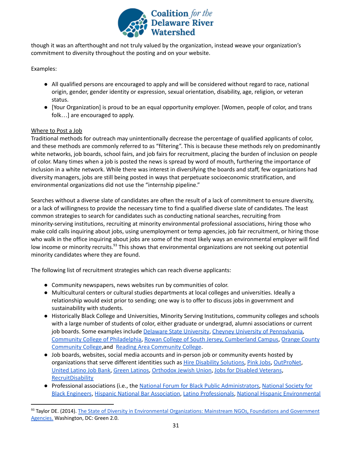

though it was an afterthought and not truly valued by the organization, instead weave your organization's commitment to diversity throughout the posting and on your website.

Examples:

- All qualified persons are encouraged to apply and will be considered without regard to race, national origin, gender, gender identity or expression, sexual orientation, disability, age, religion, or veteran status.
- [Your Organization] is proud to be an equal opportunity employer. [Women, people of color, and trans folk…] are encouraged to apply.

#### <span id="page-30-0"></span>Where to Post a Job

Traditional methods for outreach may unintentionally decrease the percentage of qualified applicants of color, and these methods are commonly referred to as "filtering". This is because these methods rely on predominantly white networks, job boards, school fairs, and job fairs for recruitment, placing the burden of inclusion on people of color. Many times when a job is posted the news is spread by word of mouth, furthering the importance of inclusion in a white network. While there was interest in diversifying the boards and staff, few organizations had diversity managers, jobs are still being posted in ways that perpetuate socioeconomic stratification, and environmental organizations did not use the "internship pipeline."

Searches without a diverse slate of candidates are often the result of a lack of commitment to ensure diversity, or a lack of willingness to provide the necessary time to find a qualified diverse slate of candidates. The least common strategies to search for candidates such as conducting national searches, recruiting from minority-serving institutions, recruiting at minority environmental professional associations, hiring those who make cold calls inquiring about jobs, using unemployment or temp agencies, job fair recruitment, or hiring those who walk in the office inquiring about jobs are some of the most likely ways an environmental employer will find low income or minority recruits.<sup>93</sup> This shows that environmental organizations are not seeking out potential minority candidates where they are found.

The following list of recruitment strategies which can reach diverse applicants:

- Community newspapers, news websites run by communities of color.
- Multicultural centers or cultural studies departments at local colleges and universities. Ideally a relationship would exist prior to sending; one way is to offer to discuss jobs in government and sustainability with students.
- Historically Black College and Universities, Minority Serving Institutions, community colleges and schools with a large number of students of color, either graduate or undergrad, alumni associations or current job boards. Some examples include Delaware State [University](https://www.desu.edu/), Cheyney University of [Pennsylvania,](https://cheyney.edu/) Community College of [Philadelphia](https://www.ccp.edu/), Rowan College of South Jersey, [Cumberland](https://www.rcsj.edu/) Campus, [Orange](https://sunyorange.edu/) County [Community](https://sunyorange.edu/) College,and Reading Area [Community](https://www.racc.edu/) College.
- Job boards, websites, social media accounts and in-person job or community events hosted by organizations that serve different identities such as Hire Disability [Solutions,](https://www.disabilitysolutionstalent.org/) Pink [Jobs](https://pink-jobs.com/), [OutProNet](https://www.outpronet.com/), [United](http://hirelatinos.org/) Latino Job Bank, Green [Latinos](http://www.greenlatinos.org/), [Orthodox](https://www.ou.org/jobboard/) Jewish Union, Jobs for Disabled [Veterans](https://www.jofdav.com/), **[RecruitDisability](http://jobs.recruitdisability.org/jobs/browse-category)**
- Professional associations (i.e., the National Forum for Black Public [Administrators,](https://www.nfbpa.org/home) [National](https://www.nsbe.org/) Society for Black [Engineers](https://www.nsbe.org/), Hispanic National Bar [Association](https://hnba.com/), Latino [Professionals](https://www.alpfa.org/), National Hispanic [Environmental](https://nheec1.org/)

<sup>93</sup> Taylor DE. (2014). The State of Diversity in [Environmental](https://www.diversegreen.org/wp-content/uploads/2015/10/FullReport_Green2.0_FINAL.pdf) Organizations: Mainstream NGOs, Foundations and Government [Agencies.](https://www.diversegreen.org/wp-content/uploads/2015/10/FullReport_Green2.0_FINAL.pdf) Washington, DC: Green 2.0.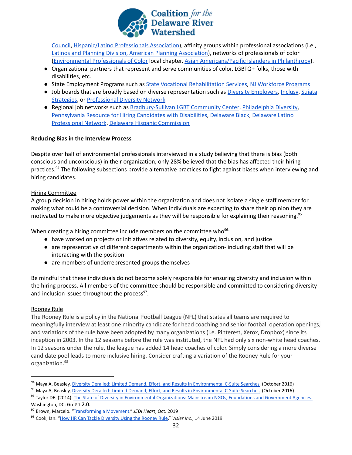

[Council,](https://nheec1.org/) [Hispanic/Latino](https://jobs.hlpa.com/post-jobs/) Professionals Association), affinity groups within professional associations (i.e., Latinos and Planning Division, American Planning [Association\)](https://www.planning.org/divisions/latinos/), networks of professionals of color [\(Environmental](https://www.cdeinspires.org/our-services/movement-building/environmental-professionals-of-color-epoc/) Professionals of Color local chapter, Asian [Americans/Pacific](https://aapip.org/jobs) Islanders in Philanthropy).

- Organizational partners that represent and serve communities of color, LGBTQ+ folks, those with disabilities, etc.
- State Employment Programs such as State Vocational [Rehabilitation](https://askjan.org/concerns/State-Vocational-Rehabilitation-Agencies.cfm) Services, NJ [Workforce](https://www.nj.gov/labor/programs/workforce_programs_index.html) Programs
- Job boards that are broadly based on diverse representation such as *Diversity [Employers](https://www.diversityemployers.com/)*, Inclusy, [Sujata](http://www.sujatastrategies.nyc/jobs) [Strategies](http://www.sujatastrategies.nyc/jobs), or [Professional](https://www.prodivnet.com/) Diversity Network
- Regional job networks such as [Bradbury-Sullivan](http://www.padiversity.org/) LGBT Community Center, [Philadelphia](http://www.philadelphiadiversity.com/) Diversity, [Pennsylvania](https://www.dli.pa.gov/Individuals/Disability-Services/other-programs/Pages/Services-for-Employers,-Businesses-and-Industry.aspx) Resource for Hiring Candidates with Disabilities, [Delaware](https://www.delawareblack.com/) Black, [Delaware](https://dlpn.wildapricot.org/) Latino [Professional](https://dlpn.wildapricot.org/) Network, Delaware Hispanic [Commission](https://www.delawarehispanic.org/)

#### <span id="page-31-0"></span>**Reducing Bias in the Interview Process**

Despite over half of environmental professionals interviewed in a study believing that there is bias (both conscious and unconscious) in their organization, only 28% believed that the bias has affected their hiring practices.<sup>94</sup> The following subsections provide alternative practices to fight against biases when interviewing and hiring candidates.

#### <span id="page-31-1"></span>Hiring Committee

A group decision in hiring holds power within the organization and does not isolate a single staff member for making what could be a controversial decision. When individuals are expecting to share their opinion they are motivated to make more objective judgements as they will be responsible for explaining their reasoning. 95

When creating a hiring committee include members on the committee who<sup>96</sup>:

- have worked on projects or initiatives related to diversity, equity, inclusion, and justice
- are representative of different departments within the organization- including staff that will be interacting with the position
- are members of underrepresented groups themselves

Be mindful that these individuals do not become solely responsible for ensuring diversity and inclusion within the hiring process. All members of the committee should be responsible and committed to considering diversity and inclusion issues throughout the process<sup>97</sup>.

## <span id="page-31-2"></span>Rooney Rule

The Rooney Rule is a policy in the National Football League (NFL) that states all teams are required to meaningfully interview at least one minority candidate for head coaching and senior football operation openings, and variations of the rule have been adopted by many organizations (i.e. Pinterest, Xerox, Dropbox) since its inception in 2003. In the 12 seasons before the rule was instituted, the NFL had only six non-white head coaches. In 12 seasons under the rule, the league has added 14 head coaches of color. Simply considering a more diverse candidate pool leads to more inclusive hiring. Consider crafting a variation of the Rooney Rule for your organization. 98

<sup>94</sup> Maya A, Beasley, Diversity Derailed: Limited Demand, [Effort, and Results in Environmental C-Suite Searches,](http://www.diversegreen.org/diversity-derailed/) (October 2016)

<sup>&</sup>lt;sup>95</sup> Maya A, Beasley, Diversity Derailed: Limited Demand, [Effort, and Results in Environmental C-Suite Searches,](http://www.diversegreen.org/diversity-derailed/) (October 2016)

<sup>96</sup> Taylor DE. (2014). The State of Diversity in Environmental [Organizations: Mainstream NGOs, Foundations and Government](https://www.diversegreen.org/wp-content/uploads/2015/10/FullReport_Green2.0_FINAL.pdf) Agencies. Washington, DC: Green 2.0.

<sup>97</sup> Brown, Marcelo. "[Transforming a Movement](http://static1.squarespace.com/static/5c69d03c7788977a41b9177f/t/5dc2e21902f6c23ce2b46447/1573052975475/TransformingaMovement_Nov2019.pdf)." *JEDI Heart*, Oct. 2019

<sup>98</sup> Cook, Ian. ["How HR Can Tackle Diversity Using the](http://www.visier.com/clarity/how-hr-can-tackle-diversity-using-the-rooney-rule/) Rooney Rule." *Visier Inc.*, 14 June 2019.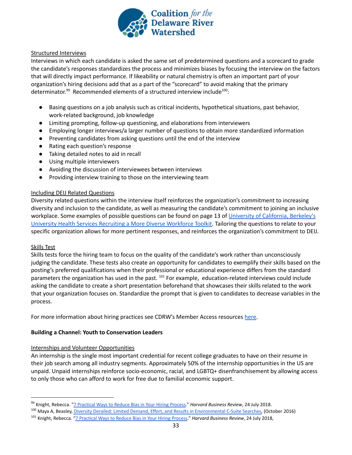

#### <span id="page-32-0"></span>Structured Interviews

Interviews in which each candidate is asked the same set of predetermined questions and a scorecard to grade the candidate's responses standardizes the process and minimizes biases by focusing the interview on the factors that will directly impact performance. If likeability or natural chemistry is often an important part of your organization's hiring decisions add that as a part of the "scorecard" to avoid making that the primary determinator.<sup>99</sup> Recommended elements of a structured interview include<sup>100</sup>:

- Basing questions on a job analysis such as critical incidents, hypothetical situations, past behavior, work-related background, job knowledge
- Limiting prompting, follow-up questioning, and elaborations from interviewers
- Employing longer interviews/a larger number of questions to obtain more standardized information
- Preventing candidates from asking questions until the end of the interview
- Rating each question's response
- Taking detailed notes to aid in recall
- Using multiple interviewers
- Avoiding the discussion of interviewees between interviews
- Providing interview training to those on the interviewing team

#### <span id="page-32-1"></span>Including DEIJ Related Questions

Diversity related questions within the interview itself reinforces the organization's commitment to increasing diversity and inclusion to the candidate, as well as measuring the candidate's commitment to joining an inclusive workplace. Some examples of possible questions can be found on page 13 of University of [California,](https://diversity.berkeley.edu/sites/default/files/recruiting_a_more_diverse_workforce_uhs.pdf) Berkeley's University Health Services Recruiting a More Diverse [Workforce](https://diversity.berkeley.edu/sites/default/files/recruiting_a_more_diverse_workforce_uhs.pdf) Toolkit. Tailoring the questions to relate to your specific organization allows for more pertinent responses, and reinforces the organization's commitment to DEIJ.

#### <span id="page-32-2"></span>Skills Test

Skills tests force the hiring team to focus on the quality of the candidate's work rather than unconsciously judging the candidate. These tests also create an opportunity for candidates to exemplify their skills based on the posting's preferred qualifications when their professional or educational experience differs from the standard parameters the organization has used in the past. <sup>101</sup> For example, education-related interviews could include asking the candidate to create a short presentation beforehand that showcases their skills related to the work that your organization focuses on. Standardize the prompt that is given to candidates to decrease variables in the process.

For more information about hiring practices see CDRW's Member Access resources [here](https://drive.google.com/drive/folders/1UopQLf9-KC4LTLVHWhJdDR7I0ylz-B6W).

#### <span id="page-32-3"></span>**Building a Channel: Youth to Conservation Leaders**

#### <span id="page-32-4"></span>Internships and Volunteer Opportunities

An internship is the single most important credential for recent college graduates to have on their resume in their job search among all industry segments. Approximately 50% of the internship opportunities in the US are unpaid. Unpaid internships reinforce socio-economic, racial, and LGBTQ+ disenfranchisement by allowing access to only those who can afford to work for free due to familial economic support.

<sup>99</sup> Knight, Rebecca. ["7 Practical Ways to Reduce Bias](http://hbr.org/2017/06/7-practical-ways-to-reduce-bias-in-your-hiring-process) in Your Hiring Process." *Harvard Business Review*, 24 July 2018.

<sup>100</sup> Maya A, Beasley, Diversity Derailed: Limited Demand, [Effort, and Results in Environmental C-Suite Searches,](http://www.diversegreen.org/diversity-derailed/) (October 2016)

<sup>101</sup> Knight, Rebecca. ["7 Practical Ways to Reduce Bias](https://hbr.org/2017/06/7-practical-ways-to-reduce-bias-in-your-hiring-process) in Your Hiring Process." *Harvard Business Review*, 24 July 2018,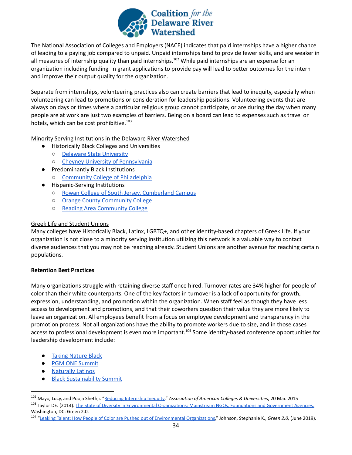

The National Association of Colleges and Employers (NACE) indicates that paid internships have a higher chance of leading to a paying job compared to unpaid. Unpaid internships tend to provide fewer skills, and are weaker in all measures of internship quality than paid internships.<sup>102</sup> While paid internships are an expense for an organization including funding in grant applications to provide pay will lead to better outcomes for the intern and improve their output quality for the organization.

Separate from internships, volunteering practices also can create barriers that lead to inequity, especially when volunteering can lead to promotions or consideration for leadership positions. Volunteering events that are always on days or times where a particular religious group cannot participate, or are during the day when many people are at work are just two examples of barriers. Being on a board can lead to expenses such as travel or hotels, which can be cost prohibitive.<sup>103</sup>

<span id="page-33-0"></span>Minority Serving Institutions in the Delaware River Watershed

- Historically Black Colleges and Universities
	- Delaware State [University](https://www.desu.edu/)
	- Cheyney University of [Pennsylvania](https://cheyney.edu/)
- **Predominantly Black Institutions** ○ Community College of [Philadelphia](https://www.ccp.edu/)
	- **Hispanic-Serving Institutions** 
		- Rowan College of South Jersey, [Cumberland](https://www.rcsj.edu/) Campus
		- Orange County [Community](https://sunyorange.edu/) College
		- Reading Area [Community](https://www.racc.edu/) College

#### <span id="page-33-1"></span>Greek Life and Student Unions

Many colleges have Historically Black, Latinx, LGBTQ+, and other identity-based chapters of Greek Life. If your organization is not close to a minority serving institution utilizing this network is a valuable way to contact diverse audiences that you may not be reaching already. Student Unions are another avenue for reaching certain populations.

#### <span id="page-33-2"></span>**Retention Best Practices**

Many organizations struggle with retaining diverse staff once hired. Turnover rates are 34% higher for people of color than their white counterparts. One of the key factors in turnover is a lack of opportunity for growth, expression, understanding, and promotion within the organization. When staff feel as though they have less access to development and promotions, and that their coworkers question their value they are more likely to leave an organization. All employees benefit from a focus on employee development and transparency in the promotion process. Not all organizations have the ability to promote workers due to size, and in those cases access to professional development is even more important.<sup>104</sup> Some identity-based conference opportunities for leadership development include:

- Taking [Nature](https://anshome.org/taking-nature-black/) Black
- PGM ONE [Summit](https://www.pgmone.org/)
- [Naturally](https://anshome.org/naturally-latinos-2019/) Latinos
- **Black [Sustainability](https://www.blacksustainabilitysummit.com/) Summit**

<sup>102</sup> Mayo, Lucy, and Pooja Shethji. "[Reducing Internship](http://www.aacu.org/publications-research/periodicals/reducing-internship-inequity) Inequity." *Association of American Colleges & Universities*, 20 Mar. 2015

<sup>&</sup>lt;sup>103</sup> Taylor DE. (2014). The State of Diversity in Environmental [Organizations: Mainstream NGOs, Foundations and Government](https://www.diversegreen.org/wp-content/uploads/2015/10/FullReport_Green2.0_FINAL.pdf) Agencies. Washington, DC: Green 2.0.

<sup>104</sup> ["Leaking Talent: How People of Color are Pushed out](http://diversegreen.org/leaking-talent/) of Environmental Organizations," Johnson, Stephanie K., *Green 2.0,* (June 2019).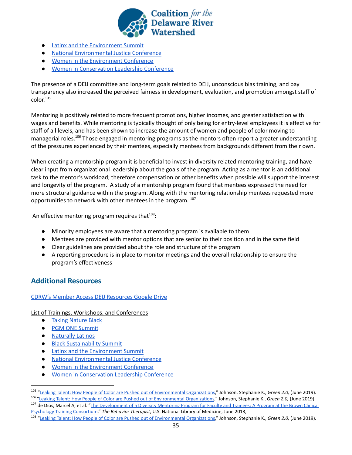

- Latinx and the [Environment](https://www.eventbrite.com/o/latinx-and-the-environment-initiative-uc-berkeley-17874784717) Summit
- National [Environmental](https://thenejc.org/) Justice Conference
- Women in the [Environment](https://weconference.events/) Conference
- **Women in [Conservation](https://www.nwf.org/Our-Work/People/Women-in-Conservation-Leadership) Leadership Conference**

The presence of a DEIJ committee and long-term goals related to DEIJ, unconscious bias training, and pay transparency also increased the perceived fairness in development, evaluation, and promotion amongst staff of color. 105

Mentoring is positively related to more frequent promotions, higher incomes, and greater satisfaction with wages and benefits. While mentoring is typically thought of only being for entry-level employees it is effective for staff of all levels, and has been shown to increase the amount of women and people of color moving to managerial roles.<sup>106</sup> Those engaged in mentoring programs as the mentors often report a greater understanding of the pressures experienced by their mentees, especially mentees from backgrounds different from their own.

When creating a mentorship program it is beneficial to invest in diversity related mentoring training, and have clear input from organizational leadership about the goals of the program. Acting as a mentor is an additional task to the mentor's workload; therefore compensation or other benefits when possible will support the interest and longevity of the program. A study of a mentorship program found that mentees expressed the need for more structural guidance within the program. Along with the mentoring relationship mentees requested more opportunities to network with other mentees in the program. 107

An effective mentoring program requires that $^{108}$ :

- Minority employees are aware that a mentoring program is available to them
- Mentees are provided with mentor options that are senior to their position and in the same field
- Clear guidelines are provided about the role and structure of the program
- A reporting procedure is in place to monitor meetings and the overall relationship to ensure the program's effectiveness

# <span id="page-34-0"></span>**Additional Resources**

#### CDRW's Member Access DEIJ [Resources](https://drive.google.com/drive/folders/1_2lYesEbJ1Ov2-sk2LtktTxkLOtUOsjc) Google Drive

#### List of Trainings, Workshops, and Conferences

- Taking [Nature](https://anshome.org/taking-nature-black/) Black
- **PGM ONE [Summit](https://www.pgmone.org/)**
- [Naturally](https://anshome.org/naturally-latinos-2019/) Latinos
- Black [Sustainability](https://www.blacksustainabilitysummit.com/) Summit
- Latinx and the [Environment](https://www.eventbrite.com/o/latinx-and-the-environment-initiative-uc-berkeley-17874784717) Summit
- National [Environmental](https://thenejc.org/) Justice Conference
- Women in the [Environment](https://weconference.events/) Conference
- Women in [Conservation](https://www.nwf.org/Our-Work/People/Women-in-Conservation-Leadership) Leadership Conference

<sup>108</sup> ["Leaking Talent: How People of Color are Pushed out](http://diversegreen.org/leaking-talent/) of Environmental Organizations," Johnson, Stephanie K., *Green 2.0,* (June 2019).

<sup>105</sup> ["Leaking Talent: How People of Color are Pushed out](http://diversegreen.org/leaking-talent/) of Environmental Organizations," Johnson, Stephanie K., *Green 2.0,* (June 2019).

<sup>106</sup> "[Leaking Talent: How People of Color are Pushed out](http://diversegreen.org/leaking-talent/) of Environmental Organizations," Johnson, Stephanie K., *Green 2.0,* (June 2019).

<sup>&</sup>lt;sup>107</sup> de Dios, Marcel A, et al. "The Development of a Diversity [Mentoring Program for Faculty and Trainees: A Program](https://www.ncbi.nlm.nih.gov/pmc/articles/PMC4207083/) at the Brown Clinical [Psychology Training Consortium.](https://www.ncbi.nlm.nih.gov/pmc/articles/PMC4207083/)" *The Behavior Therapist*, U.S. National Library of Medicine, June 2013,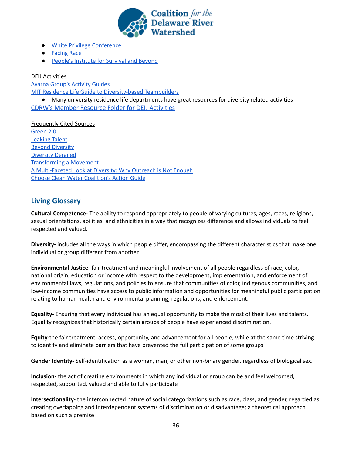

- White Privilege [Conference](https://www.whiteprivilegeconference.com/)
- [Facing](https://facingrace.raceforward.org/) Race
- **People's [Institute](https://www.pisab.org/) for Survival and Beyond**

DEIJ Activities

Avarna [Group's](https://theavarnagroup.com/resources/?cat=activities#content_top) Activity Guides

MIT Residence Life Guide to [Diversity-based](https://studentlife.mit.edu/sites/default/files/Diversity-based%20Teambuilders%20and%20Icebreakers%20from%20Stonehill%20College.pdf) Teambuilders

● Many university residence life departments have great resources for diversity related activities [CDRW's Member Resource Folder for DEIJ Activities](https://drive.google.com/drive/folders/1FWX2ObxuFkYAOFlBWNhF4rxxhNC7B4gM)

Frequently Cited Sources [Green](https://www.diversegreen.org/) 2.0 [Leaking](https://www.diversegreen.org/leaking-talent/) Talent Beyond [Diversity](https://www.diversegreen.org/beyond-diversity/) [Diversity](https://www.diversegreen.org/diversity-derailed/) Derailed [Transforming](https://www.jediheart.com/transforming-a-movement) a Movement A [Multi-Faceted](https://www.researchgate.net/publication/228725315_A_multi-faceted_look_at_diversity_Why_outreach_is_not_enough) Look at Diversity: Why Outreach is Not Enough Choose Clean Water [Coalition's](https://drive.google.com/drive/folders/1GYbIg2EWwSEJe7pcU3zGEpGQDUWK2CS3) Action Guide

# <span id="page-35-0"></span>**Living Glossary**

**Cultural Competence-** The ability to respond appropriately to people of varying cultures, ages, races, religions, sexual orientations, abilities, and ethnicities in a way that recognizes difference and allows individuals to feel respected and valued.

**Diversity-** includes all the ways in which people differ, encompassing the different characteristics that make one individual or group different from another.

**Environmental Justice-** fair treatment and meaningful involvement of all people regardless of race, color, national origin, education or income with respect to the development, implementation, and enforcement of environmental laws, regulations, and policies to ensure that communities of color, indigenous communities, and low-income communities have access to public information and opportunities for meaningful public participation relating to human health and environmental planning, regulations, and enforcement.

**Equality-** Ensuring that every individual has an equal opportunity to make the most of their lives and talents. Equality recognizes that historically certain groups of people have experienced discrimination.

**Equity-**the fair treatment, access, opportunity, and advancement for all people, while at the same time striving to identify and eliminate barriers that have prevented the full participation of some groups

**Gender Identity-** Self-identification as a woman, man, or other non-binary gender, regardless of biological sex.

**Inclusion-** the act of creating environments in which any individual or group can be and feel welcomed, respected, supported, valued and able to fully participate

**Intersectionality-** the interconnected nature of social categorizations such as race, class, and gender, regarded as creating overlapping and interdependent systems of discrimination or disadvantage; a theoretical approach based on such a premise